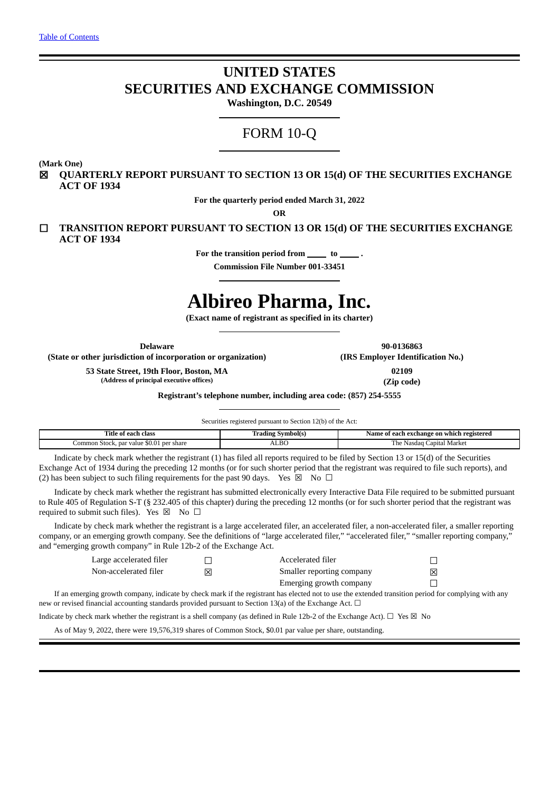# **UNITED STATES SECURITIES AND EXCHANGE COMMISSION**

**Washington, D.C. 20549**

# FORM 10-Q

**(Mark One)**

☒ **QUARTERLY REPORT PURSUANT TO SECTION 13 OR 15(d) OF THE SECURITIES EXCHANGE ACT OF 1934**

**For the quarterly period ended March 31, 2022**

**OR**

☐ **TRANSITION REPORT PURSUANT TO SECTION 13 OR 15(d) OF THE SECURITIES EXCHANGE ACT OF 1934**

**For the transition period from to .**

**Commission File Number 001-33451**

# **Albireo Pharma, Inc.**

**(Exact name of registrant as specified in its charter)**

**Delaware (State or other jurisdiction of incorporation or organization)**

**90-0136863 (IRS Employer Identification No.)**

**53 State Street, 19th Floor, Boston, MA (Address of principal executive offices)**

**02109**

**(Zip code)**

**Registrant's telephone number, including area code: (857) 254-5555**

Securities registered pursuant to Section 12(b) of the Act:

| Title of each class                                                              | Symbol(s)<br>rading | registered<br>: each exchange on which :<br>same<br>' OT |
|----------------------------------------------------------------------------------|---------------------|----------------------------------------------------------|
| $\sim$ 50.0 $\pm$<br><sup>.</sup> share<br>. par value<br>'ommon Stock.<br>. Der |                     | . Market<br>r ne-<br>Lapital.<br>Nasdad                  |

Indicate by check mark whether the registrant (1) has filed all reports required to be filed by Section 13 or 15(d) of the Securities Exchange Act of 1934 during the preceding 12 months (or for such shorter period that the registrant was required to file such reports), and (2) has been subject to such filing requirements for the past 90 days. Yes  $\boxtimes$  No  $\Box$ 

Indicate by check mark whether the registrant has submitted electronically every Interactive Data File required to be submitted pursuant to Rule 405 of Regulation S-T (§ 232.405 of this chapter) during the preceding 12 months (or for such shorter period that the registrant was required to submit such files). Yes  $\boxtimes$  No  $\Box$ 

Indicate by check mark whether the registrant is a large accelerated filer, an accelerated filer, a non-accelerated filer, a smaller reporting company, or an emerging growth company. See the definitions of "large accelerated filer," "accelerated filer," "smaller reporting company," and "emerging growth company" in Rule 12b-2 of the Exchange Act.

| Large accelerated filer |     | Accelerated filer         |   |
|-------------------------|-----|---------------------------|---|
| Non-accelerated filer   | Ι×Ι | Smaller reporting company | ⋈ |
|                         |     | Emerging growth company   |   |

If an emerging growth company, indicate by check mark if the registrant has elected not to use the extended transition period for complying with any new or revised financial accounting standards provided pursuant to Section 13(a) of the Exchange Act.  $\Box$ 

Indicate by check mark whether the registrant is a shell company (as defined in Rule 12b-2 of the Exchange Act). ☐ Yes ☒ No

As of May 9, 2022, there were 19,576,319 shares of Common Stock, \$0.01 par value per share, outstanding.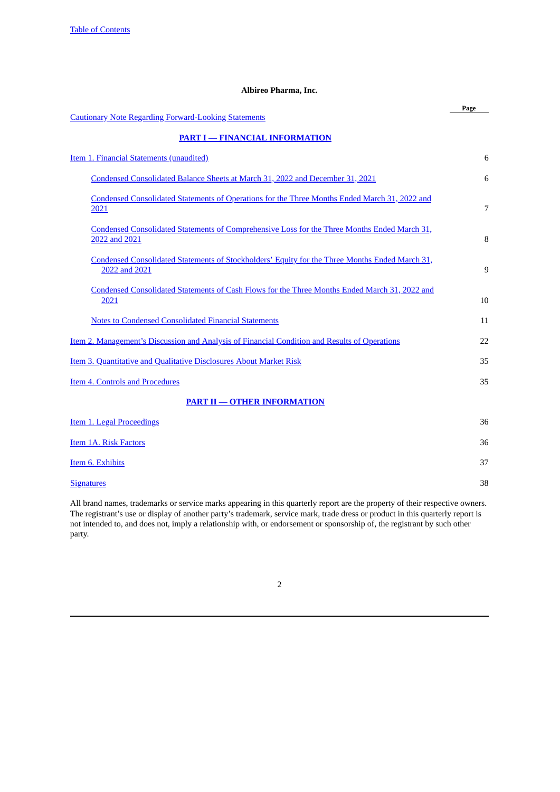<span id="page-1-0"></span>

| <b>Cautionary Note Regarding Forward-Looking Statements</b>                                                     | Page |
|-----------------------------------------------------------------------------------------------------------------|------|
| <b>PART I - FINANCIAL INFORMATION</b>                                                                           |      |
| <b>Item 1. Financial Statements (unaudited)</b>                                                                 | 6    |
| Condensed Consolidated Balance Sheets at March 31, 2022 and December 31, 2021                                   | 6    |
| Condensed Consolidated Statements of Operations for the Three Months Ended March 31, 2022 and<br>2021           | 7    |
| Condensed Consolidated Statements of Comprehensive Loss for the Three Months Ended March 31,<br>2022 and 2021   | 8    |
| Condensed Consolidated Statements of Stockholders' Equity for the Three Months Ended March 31,<br>2022 and 2021 | 9    |
| Condensed Consolidated Statements of Cash Flows for the Three Months Ended March 31, 2022 and<br>2021           | 10   |
| <b>Notes to Condensed Consolidated Financial Statements</b>                                                     | 11   |
| Item 2. Management's Discussion and Analysis of Financial Condition and Results of Operations                   | 22   |
| Item 3. Quantitative and Qualitative Disclosures About Market Risk                                              | 35   |
| Item 4. Controls and Procedures                                                                                 | 35   |
| <b>PART II - OTHER INFORMATION</b>                                                                              |      |
| Item 1. Legal Proceedings                                                                                       | 36   |
| Item 1A. Risk Factors                                                                                           | 36   |
| Item 6. Exhibits                                                                                                | 37   |
| <b>Signatures</b>                                                                                               | 38   |

All brand names, trademarks or service marks appearing in this quarterly report are the property of their respective owners. The registrant's use or display of another party's trademark, service mark, trade dress or product in this quarterly report is not intended to, and does not, imply a relationship with, or endorsement or sponsorship of, the registrant by such other party.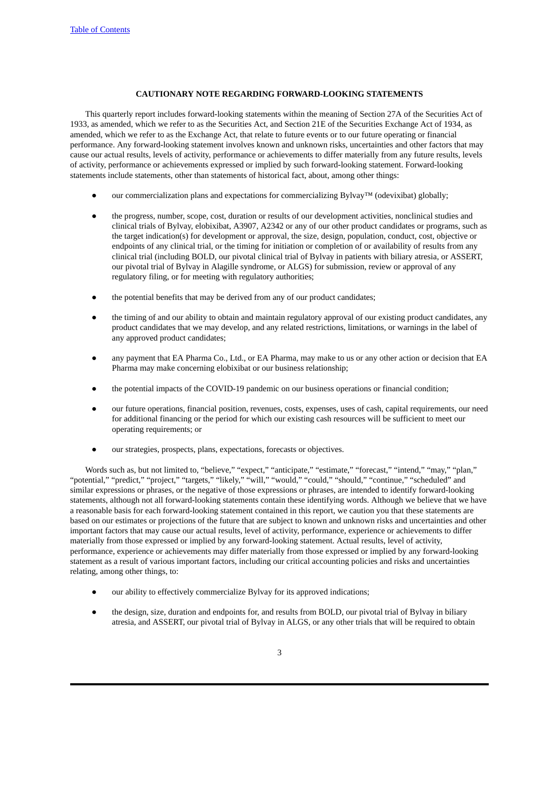### **CAUTIONARY NOTE REGARDING FORWARD-LOOKING STATEMENTS**

<span id="page-2-0"></span>This quarterly report includes forward-looking statements within the meaning of Section 27A of the Securities Act of 1933, as amended, which we refer to as the Securities Act, and Section 21E of the Securities Exchange Act of 1934, as amended, which we refer to as the Exchange Act, that relate to future events or to our future operating or financial performance. Any forward-looking statement involves known and unknown risks, uncertainties and other factors that may cause our actual results, levels of activity, performance or achievements to differ materially from any future results, levels of activity, performance or achievements expressed or implied by such forward-looking statement. Forward-looking statements include statements, other than statements of historical fact, about, among other things:

- our commercialization plans and expectations for commercializing Bylvay™ (odevixibat) globally;
- the progress, number, scope, cost, duration or results of our development activities, nonclinical studies and clinical trials of Bylvay, elobixibat, A3907, A2342 or any of our other product candidates or programs, such as the target indication(s) for development or approval, the size, design, population, conduct, cost, objective or endpoints of any clinical trial, or the timing for initiation or completion of or availability of results from any clinical trial (including BOLD, our pivotal clinical trial of Bylvay in patients with biliary atresia, or ASSERT, our pivotal trial of Bylvay in Alagille syndrome, or ALGS) for submission, review or approval of any regulatory filing, or for meeting with regulatory authorities;
- the potential benefits that may be derived from any of our product candidates;
- the timing of and our ability to obtain and maintain regulatory approval of our existing product candidates, any product candidates that we may develop, and any related restrictions, limitations, or warnings in the label of any approved product candidates;
- any payment that EA Pharma Co., Ltd., or EA Pharma, may make to us or any other action or decision that EA Pharma may make concerning elobixibat or our business relationship;
- the potential impacts of the COVID-19 pandemic on our business operations or financial condition;
- our future operations, financial position, revenues, costs, expenses, uses of cash, capital requirements, our need for additional financing or the period for which our existing cash resources will be sufficient to meet our operating requirements; or
- our strategies, prospects, plans, expectations, forecasts or objectives.

Words such as, but not limited to, "believe," "expect," "anticipate," "estimate," "forecast," "intend," "may," "plan," "potential," "predict," "project," "targets," "likely," "will," "would," "could," "should," "continue," "scheduled" and similar expressions or phrases, or the negative of those expressions or phrases, are intended to identify forward-looking statements, although not all forward-looking statements contain these identifying words. Although we believe that we have a reasonable basis for each forward-looking statement contained in this report, we caution you that these statements are based on our estimates or projections of the future that are subject to known and unknown risks and uncertainties and other important factors that may cause our actual results, level of activity, performance, experience or achievements to differ materially from those expressed or implied by any forward-looking statement. Actual results, level of activity, performance, experience or achievements may differ materially from those expressed or implied by any forward-looking statement as a result of various important factors, including our critical accounting policies and risks and uncertainties relating, among other things, to:

- our ability to effectively commercialize Bylvay for its approved indications;
- the design, size, duration and endpoints for, and results from BOLD, our pivotal trial of Bylvay in biliary atresia, and ASSERT, our pivotal trial of Bylvay in ALGS, or any other trials that will be required to obtain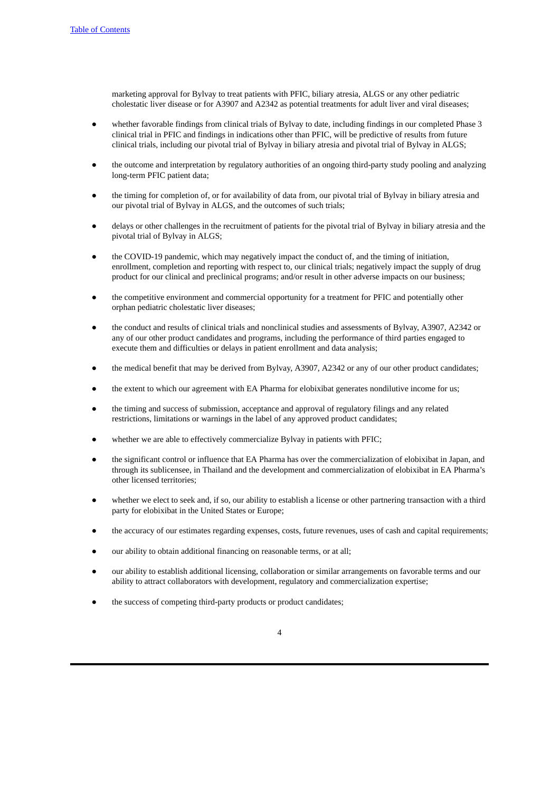marketing approval for Bylvay to treat patients with PFIC, biliary atresia, ALGS or any other pediatric cholestatic liver disease or for A3907 and A2342 as potential treatments for adult liver and viral diseases;

- whether favorable findings from clinical trials of Bylvay to date, including findings in our completed Phase 3 clinical trial in PFIC and findings in indications other than PFIC, will be predictive of results from future clinical trials, including our pivotal trial of Bylvay in biliary atresia and pivotal trial of Bylvay in ALGS;
- the outcome and interpretation by regulatory authorities of an ongoing third-party study pooling and analyzing long-term PFIC patient data;
- the timing for completion of, or for availability of data from, our pivotal trial of Bylvay in biliary atresia and our pivotal trial of Bylvay in ALGS, and the outcomes of such trials;
- delays or other challenges in the recruitment of patients for the pivotal trial of Bylvay in biliary atresia and the pivotal trial of Bylvay in ALGS;
- the COVID-19 pandemic, which may negatively impact the conduct of, and the timing of initiation, enrollment, completion and reporting with respect to, our clinical trials; negatively impact the supply of drug product for our clinical and preclinical programs; and/or result in other adverse impacts on our business;
- the competitive environment and commercial opportunity for a treatment for PFIC and potentially other orphan pediatric cholestatic liver diseases;
- the conduct and results of clinical trials and nonclinical studies and assessments of Bylvay, A3907, A2342 or any of our other product candidates and programs, including the performance of third parties engaged to execute them and difficulties or delays in patient enrollment and data analysis;
- the medical benefit that may be derived from Bylvay, A3907, A2342 or any of our other product candidates;
- the extent to which our agreement with EA Pharma for elobixibat generates nondilutive income for us;
- the timing and success of submission, acceptance and approval of regulatory filings and any related restrictions, limitations or warnings in the label of any approved product candidates;
- whether we are able to effectively commercialize Bylvay in patients with PFIC;
- the significant control or influence that EA Pharma has over the commercialization of elobixibat in Japan, and through its sublicensee, in Thailand and the development and commercialization of elobixibat in EA Pharma's other licensed territories;
- whether we elect to seek and, if so, our ability to establish a license or other partnering transaction with a third party for elobixibat in the United States or Europe;
- the accuracy of our estimates regarding expenses, costs, future revenues, uses of cash and capital requirements;
- our ability to obtain additional financing on reasonable terms, or at all;
- our ability to establish additional licensing, collaboration or similar arrangements on favorable terms and our ability to attract collaborators with development, regulatory and commercialization expertise;
- the success of competing third-party products or product candidates;
	- 4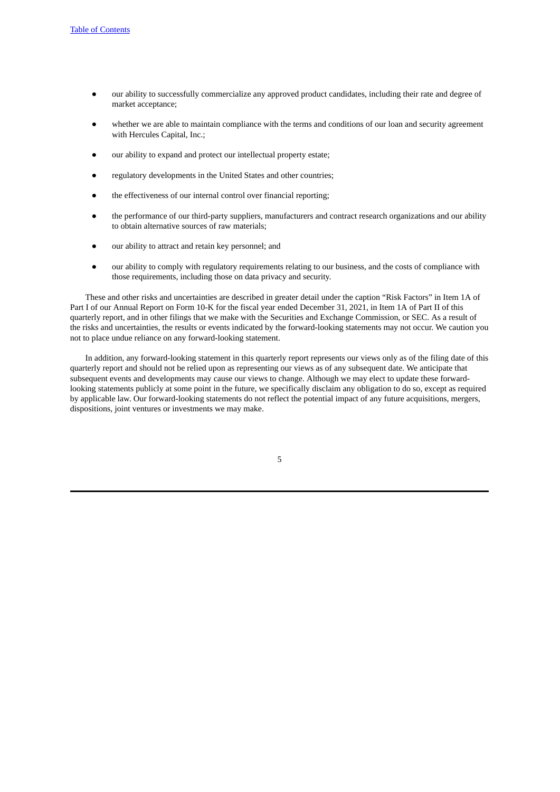- our ability to successfully commercialize any approved product candidates, including their rate and degree of market acceptance;
- whether we are able to maintain compliance with the terms and conditions of our loan and security agreement with Hercules Capital, Inc.;
- our ability to expand and protect our intellectual property estate;
- regulatory developments in the United States and other countries;
- the effectiveness of our internal control over financial reporting;
- the performance of our third-party suppliers, manufacturers and contract research organizations and our ability to obtain alternative sources of raw materials;
- our ability to attract and retain key personnel; and
- our ability to comply with regulatory requirements relating to our business, and the costs of compliance with those requirements, including those on data privacy and security.

These and other risks and uncertainties are described in greater detail under the caption "Risk Factors" in Item 1A of Part I of our Annual Report on Form 10-K for the fiscal year ended December 31, 2021, in Item 1A of Part II of this quarterly report, and in other filings that we make with the Securities and Exchange Commission, or SEC. As a result of the risks and uncertainties, the results or events indicated by the forward-looking statements may not occur. We caution you not to place undue reliance on any forward-looking statement.

In addition, any forward-looking statement in this quarterly report represents our views only as of the filing date of this quarterly report and should not be relied upon as representing our views as of any subsequent date. We anticipate that subsequent events and developments may cause our views to change. Although we may elect to update these forwardlooking statements publicly at some point in the future, we specifically disclaim any obligation to do so, except as required by applicable law. Our forward-looking statements do not reflect the potential impact of any future acquisitions, mergers, dispositions, joint ventures or investments we may make.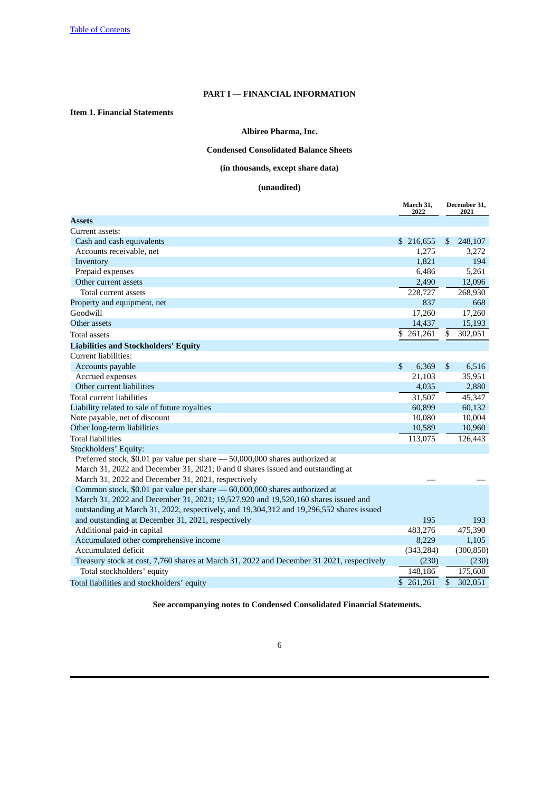# **PART I — FINANCIAL INFORMATION**

# <span id="page-5-2"></span><span id="page-5-1"></span><span id="page-5-0"></span>**Item 1. Financial Statements**

# **Albireo Pharma, Inc.**

# **Condensed Consolidated Balance Sheets**

# **(in thousands, except share data)**

# **(unaudited)**

|                                                                                                                                                                 | March 31,<br>2022       | December 31,<br>2021 |
|-----------------------------------------------------------------------------------------------------------------------------------------------------------------|-------------------------|----------------------|
| <b>Assets</b>                                                                                                                                                   |                         |                      |
| Current assets:                                                                                                                                                 |                         |                      |
| Cash and cash equivalents                                                                                                                                       | \$216,655               | \$<br>248,107        |
| Accounts receivable, net                                                                                                                                        | 1,275                   | 3,272                |
| Inventory                                                                                                                                                       | 1,821                   | 194                  |
| Prepaid expenses                                                                                                                                                | 6,486                   | 5,261                |
| Other current assets                                                                                                                                            | 2,490                   | 12,096               |
| Total current assets                                                                                                                                            | 228,727                 | 268,930              |
| Property and equipment, net                                                                                                                                     | 837                     | 668                  |
| Goodwill                                                                                                                                                        | 17,260                  | 17,260               |
| Other assets                                                                                                                                                    | 14,437                  | 15,193               |
| <b>Total assets</b>                                                                                                                                             | \$<br>261.261           | 302,051<br>\$        |
| <b>Liabilities and Stockholders' Equity</b>                                                                                                                     |                         |                      |
| Current liabilities:                                                                                                                                            |                         |                      |
| Accounts payable                                                                                                                                                | \$<br>6,369             | \$<br>6,516          |
| Accrued expenses                                                                                                                                                | 21,103                  | 35,951               |
| Other current liabilities                                                                                                                                       | 4,035                   | 2,880                |
| Total current liabilities                                                                                                                                       | 31,507                  | 45,347               |
| Liability related to sale of future royalties                                                                                                                   | 60,899                  | 60,132               |
| Note payable, net of discount                                                                                                                                   | 10,080                  | 10,004               |
| Other long-term liabilities                                                                                                                                     | 10,589                  | 10,960               |
| <b>Total liabilities</b>                                                                                                                                        | 113,075                 | 126,443              |
| Stockholders' Equity:                                                                                                                                           |                         |                      |
| Preferred stock, \$0.01 par value per share - 50,000,000 shares authorized at<br>March 31, 2022 and December 31, 2021; 0 and 0 shares issued and outstanding at |                         |                      |
| March 31, 2022 and December 31, 2021, respectively                                                                                                              |                         |                      |
| Common stock, \$0.01 par value per share - 60,000,000 shares authorized at                                                                                      |                         |                      |
| March 31, 2022 and December 31, 2021; 19,527,920 and 19,520,160 shares issued and                                                                               |                         |                      |
| outstanding at March 31, 2022, respectively, and 19,304,312 and 19,296,552 shares issued                                                                        |                         |                      |
| and outstanding at December 31, 2021, respectively                                                                                                              | 195                     | 193                  |
| Additional paid-in capital                                                                                                                                      | 483,276                 | 475,390              |
| Accumulated other comprehensive income                                                                                                                          | 8,229                   | 1,105                |
| Accumulated deficit                                                                                                                                             | (343, 284)              | (300, 850)           |
| Treasury stock at cost, 7,760 shares at March 31, 2022 and December 31 2021, respectively                                                                       | (230)                   | (230)                |
| Total stockholders' equity                                                                                                                                      | 148,186                 | 175,608              |
| Total liabilities and stockholders' equity                                                                                                                      | $\overline{\$}$ 261,261 | \$<br>302,051        |

**See accompanying notes to Condensed Consolidated Financial Statements.**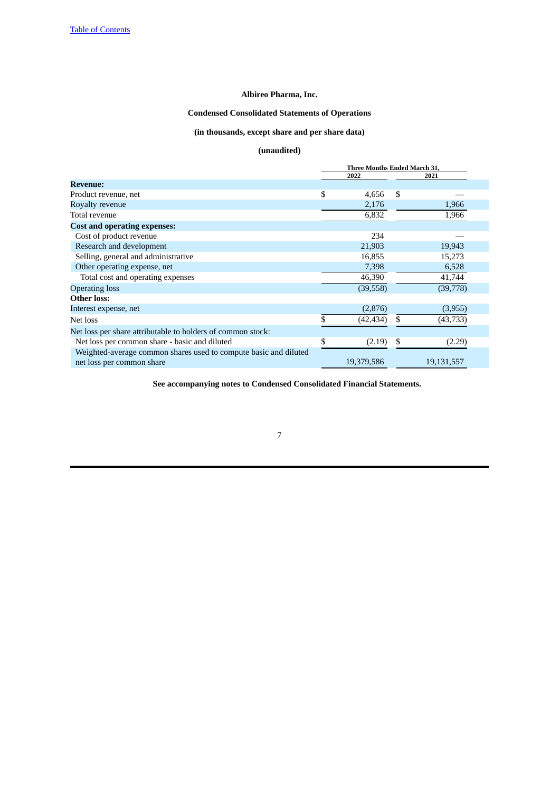# **Condensed Consolidated Statements of Operations**

# **(in thousands, except share and per share data)**

### **(unaudited)**

<span id="page-6-0"></span>

|                                                                  | Three Months Ended March 31, |            |    |              |
|------------------------------------------------------------------|------------------------------|------------|----|--------------|
|                                                                  | 2022<br>2021                 |            |    |              |
| <b>Revenue:</b>                                                  |                              |            |    |              |
| Product revenue, net                                             | \$                           | 4,656      | \$ |              |
| Royalty revenue                                                  |                              | 2,176      |    | 1,966        |
| Total revenue                                                    |                              | 6,832      |    | 1,966        |
| <b>Cost and operating expenses:</b>                              |                              |            |    |              |
| Cost of product revenue                                          |                              | 234        |    |              |
| Research and development                                         |                              | 21,903     |    | 19,943       |
| Selling, general and administrative                              |                              | 16,855     |    | 15,273       |
| Other operating expense, net                                     |                              | 7,398      |    | 6,528        |
| Total cost and operating expenses                                |                              | 46,390     |    | 41,744       |
| <b>Operating loss</b>                                            |                              | (39, 558)  |    | (39,778)     |
| Other loss:                                                      |                              |            |    |              |
| Interest expense, net                                            |                              | (2,876)    |    | (3,955)      |
| Net loss                                                         | ፍ                            | (42, 434)  |    | (43,733)     |
| Net loss per share attributable to holders of common stock:      |                              |            |    |              |
| Net loss per common share - basic and diluted                    |                              | (2.19)     |    | (2.29)       |
| Weighted-average common shares used to compute basic and diluted |                              |            |    |              |
| net loss per common share                                        |                              | 19,379,586 |    | 19, 131, 557 |

**See accompanying notes to Condensed Consolidated Financial Statements.**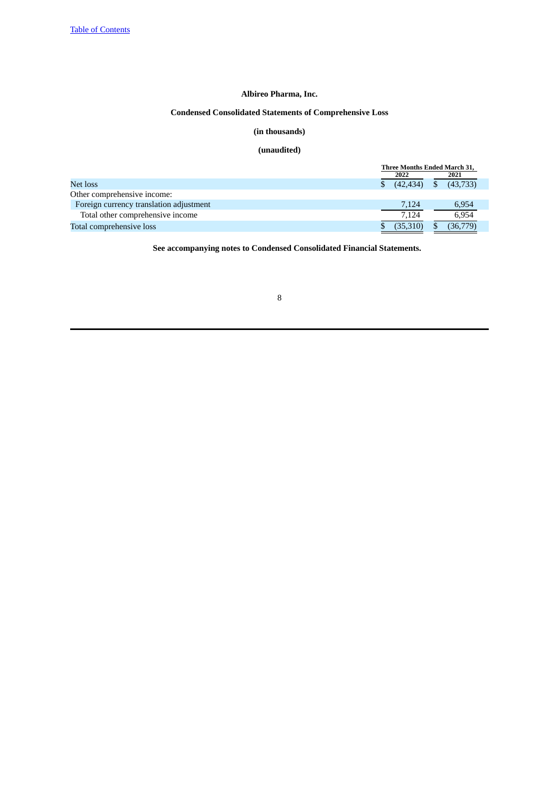# **Condensed Consolidated Statements of Comprehensive Loss**

# **(in thousands)**

# **(unaudited)**

<span id="page-7-0"></span>

|                                         | Three Months Ended March 31, |              |  |                        |
|-----------------------------------------|------------------------------|--------------|--|------------------------|
|                                         |                              | 2022<br>2021 |  |                        |
| Net loss                                |                              | (42, 434)    |  | $\frac{1}{2}$ (43,733) |
| Other comprehensive income:             |                              |              |  |                        |
| Foreign currency translation adjustment |                              | 7.124        |  | 6.954                  |
| Total other comprehensive income        |                              | 7.124        |  | 6.954                  |
| Total comprehensive loss                |                              | (35,310)     |  | (36,779)               |

**See accompanying notes to Condensed Consolidated Financial Statements.**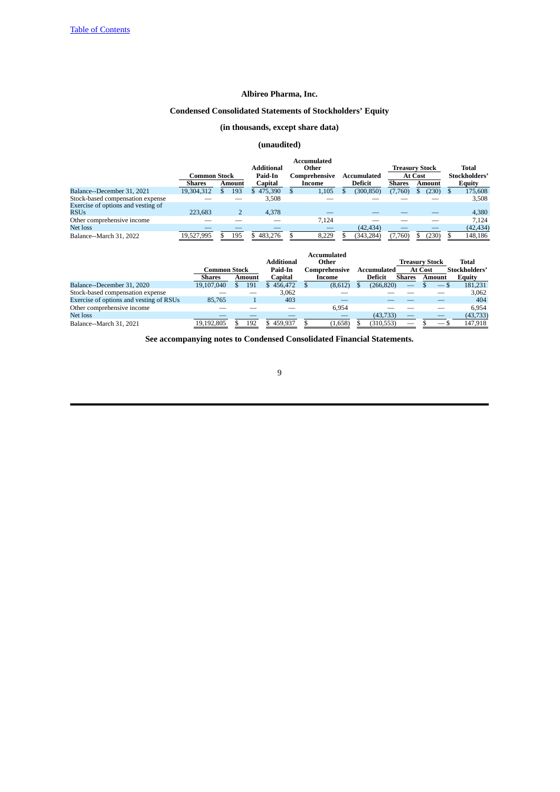# **Condensed Consolidated Statements of Stockholders' Equity**

# **(in thousands, except share data)**

# **(unaudited)**

<span id="page-8-0"></span>

|                                    |               |        |                   | Accumulated   |                |               |                       |               |
|------------------------------------|---------------|--------|-------------------|---------------|----------------|---------------|-----------------------|---------------|
|                                    |               |        | <b>Additional</b> | Other         |                |               | <b>Treasurv Stock</b> | Total         |
|                                    | Common Stock  |        | Paid-In           | Comprehensive | Accumulated    |               | At Cost               | Stockholders' |
|                                    | <b>Shares</b> | Amount | Capital           | Income        | <b>Deficit</b> | <b>Shares</b> | Amount                | Equity        |
| Balance--December 31, 2021         | 19,304,312    | 193    | \$475,390         | 1,105         | (300, 850)     | (7,760)       | (230)                 | 175,608       |
| Stock-based compensation expense   |               |        | 3,508             |               |                |               |                       | 3,508         |
| Exercise of options and vesting of |               |        |                   |               |                |               |                       |               |
| RSUs                               | 223,683       |        | 4.378             |               |                |               |                       | 4,380         |
| Other comprehensive income         |               |        |                   | 7.124         |                |               |                       | 7.124         |
| Net loss                           |               |        |                   |               | (42, 434)      |               |                       | (42, 434)     |
| Balance--March 31, 2022            | 19.527.995    | 195    | 483.276           | 8.229         | (343, 284)     | (7,760)       | (230)                 | 148,186       |

|                                         |                     |        |                   | <b>Accumulated</b> |                |        |                       |               |
|-----------------------------------------|---------------------|--------|-------------------|--------------------|----------------|--------|-----------------------|---------------|
|                                         |                     |        | <b>Additional</b> | Other              |                |        | <b>Treasury Stock</b> | Total         |
|                                         | <b>Common Stock</b> |        | Paid-In           | Comprehensive      | Accumulated    |        | At Cost               | Stockholders' |
|                                         | <b>Shares</b>       | Amount | Capital           | Income             | <b>Deficit</b> | Shares | Amount                | Equity        |
| Balance--December 31, 2020              | 19,107,040          | 191    | \$456,472         | (8,612)            | (266, 820)     |        |                       | 181,231       |
| Stock-based compensation expense        |                     |        | 3,062             |                    |                |        |                       | 3,062         |
| Exercise of options and vesting of RSUs | 85.765              |        | 403               |                    |                |        |                       | 404           |
| Other comprehensive income              |                     |        |                   | 6.954              |                |        |                       | 6.954         |
| Net loss                                |                     |        |                   |                    | (43, 733)      |        |                       | (43, 733)     |
| Balance--March 31, 2021                 | 19,192,805          | 192    | \$459,937         | (1,658)            | (310, 553)     |        |                       | 147,918       |

**See accompanying notes to Condensed Consolidated Financial Statements.**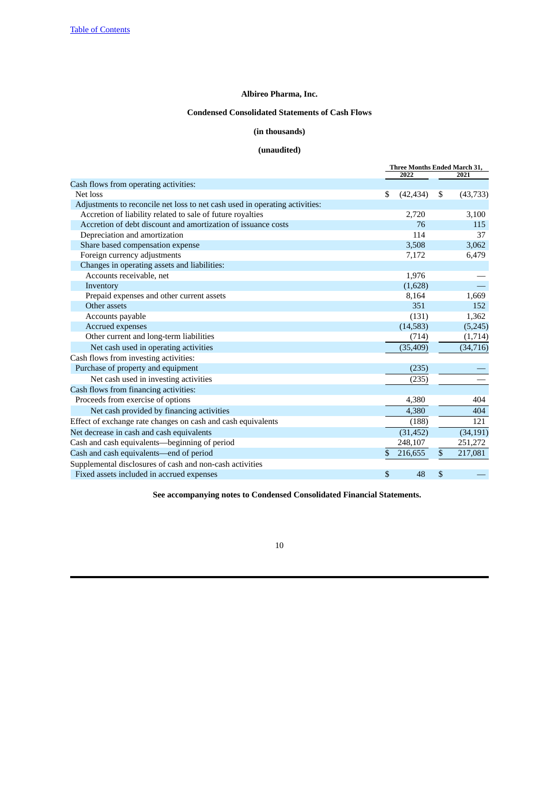# **Condensed Consolidated Statements of Cash Flows**

# **(in thousands)**

# **(unaudited)**

<span id="page-9-0"></span>

|                                                                             | <b>Three Months Ended March 31,</b> |      |           |
|-----------------------------------------------------------------------------|-------------------------------------|------|-----------|
|                                                                             | 2022                                |      | 2021      |
| Cash flows from operating activities:                                       |                                     |      |           |
| Net loss                                                                    | \$<br>(42, 434)                     | \$   | (43, 733) |
| Adjustments to reconcile net loss to net cash used in operating activities: |                                     |      |           |
| Accretion of liability related to sale of future royalties                  | 2,720                               |      | 3,100     |
| Accretion of debt discount and amortization of issuance costs               | 76                                  |      | 115       |
| Depreciation and amortization                                               | 114                                 |      | 37        |
| Share based compensation expense                                            | 3,508                               |      | 3,062     |
| Foreign currency adjustments                                                | 7,172                               |      | 6,479     |
| Changes in operating assets and liabilities:                                |                                     |      |           |
| Accounts receivable, net                                                    | 1,976                               |      |           |
| Inventory                                                                   | (1,628)                             |      |           |
| Prepaid expenses and other current assets                                   | 8,164                               |      | 1,669     |
| Other assets                                                                | 351                                 |      | 152       |
| Accounts payable                                                            | (131)                               |      | 1,362     |
| Accrued expenses                                                            | (14,583)                            |      | (5,245)   |
| Other current and long-term liabilities                                     | (714)                               |      | (1,714)   |
| Net cash used in operating activities                                       | (35, 409)                           |      | (34,716)  |
| Cash flows from investing activities:                                       |                                     |      |           |
| Purchase of property and equipment                                          | (235)                               |      |           |
| Net cash used in investing activities                                       | (235)                               |      |           |
| Cash flows from financing activities:                                       |                                     |      |           |
| Proceeds from exercise of options                                           | 4,380                               |      | 404       |
| Net cash provided by financing activities                                   | 4,380                               |      | 404       |
| Effect of exchange rate changes on cash and cash equivalents                | (188)                               |      | 121       |
| Net decrease in cash and cash equivalents                                   | (31, 452)                           |      | (34, 191) |
| Cash and cash equivalents-beginning of period                               | 248,107                             |      | 251,272   |
| Cash and cash equivalents-end of period                                     | \$<br>216,655                       | $\$$ | 217,081   |
| Supplemental disclosures of cash and non-cash activities                    |                                     |      |           |
| Fixed assets included in accrued expenses                                   | \$<br>48                            | \$   |           |

**See accompanying notes to Condensed Consolidated Financial Statements.**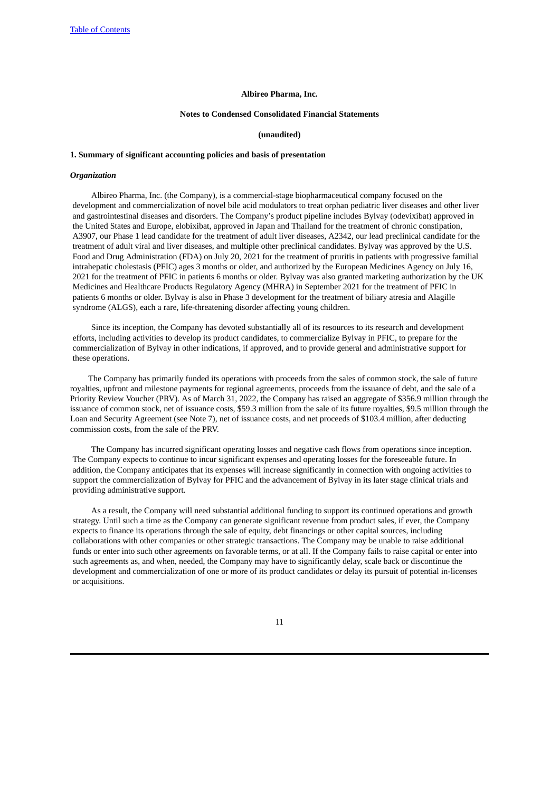### **Notes to Condensed Consolidated Financial Statements**

#### **(unaudited)**

#### <span id="page-10-0"></span>**1. Summary of significant accounting policies and basis of presentation**

#### *Organization*

Albireo Pharma, Inc. (the Company), is a commercial-stage biopharmaceutical company focused on the development and commercialization of novel bile acid modulators to treat orphan pediatric liver diseases and other liver and gastrointestinal diseases and disorders. The Company's product pipeline includes Bylvay (odevixibat) approved in the United States and Europe, elobixibat, approved in Japan and Thailand for the treatment of chronic constipation, A3907, our Phase 1 lead candidate for the treatment of adult liver diseases, A2342, our lead preclinical candidate for the treatment of adult viral and liver diseases, and multiple other preclinical candidates. Bylvay was approved by the U.S. Food and Drug Administration (FDA) on July 20, 2021 for the treatment of pruritis in patients with progressive familial intrahepatic cholestasis (PFIC) ages 3 months or older, and authorized by the European Medicines Agency on July 16, 2021 for the treatment of PFIC in patients 6 months or older. Bylvay was also granted marketing authorization by the UK Medicines and Healthcare Products Regulatory Agency (MHRA) in September 2021 for the treatment of PFIC in patients 6 months or older. Bylvay is also in Phase 3 development for the treatment of biliary atresia and Alagille syndrome (ALGS), each a rare, life-threatening disorder affecting young children.

Since its inception, the Company has devoted substantially all of its resources to its research and development efforts, including activities to develop its product candidates, to commercialize Bylvay in PFIC, to prepare for the commercialization of Bylvay in other indications, if approved, and to provide general and administrative support for these operations.

The Company has primarily funded its operations with proceeds from the sales of common stock, the sale of future royalties, upfront and milestone payments for regional agreements, proceeds from the issuance of debt, and the sale of a Priority Review Voucher (PRV). As of March 31, 2022, the Company has raised an aggregate of \$356.9 million through the issuance of common stock, net of issuance costs, \$59.3 million from the sale of its future royalties, \$9.5 million through the Loan and Security Agreement (see Note 7), net of issuance costs, and net proceeds of \$103.4 million, after deducting commission costs, from the sale of the PRV.

The Company has incurred significant operating losses and negative cash flows from operations since inception. The Company expects to continue to incur significant expenses and operating losses for the foreseeable future. In addition, the Company anticipates that its expenses will increase significantly in connection with ongoing activities to support the commercialization of Bylvay for PFIC and the advancement of Bylvay in its later stage clinical trials and providing administrative support.

As a result, the Company will need substantial additional funding to support its continued operations and growth strategy. Until such a time as the Company can generate significant revenue from product sales, if ever, the Company expects to finance its operations through the sale of equity, debt financings or other capital sources, including collaborations with other companies or other strategic transactions. The Company may be unable to raise additional funds or enter into such other agreements on favorable terms, or at all. If the Company fails to raise capital or enter into such agreements as, and when, needed, the Company may have to significantly delay, scale back or discontinue the development and commercialization of one or more of its product candidates or delay its pursuit of potential in-licenses or acquisitions.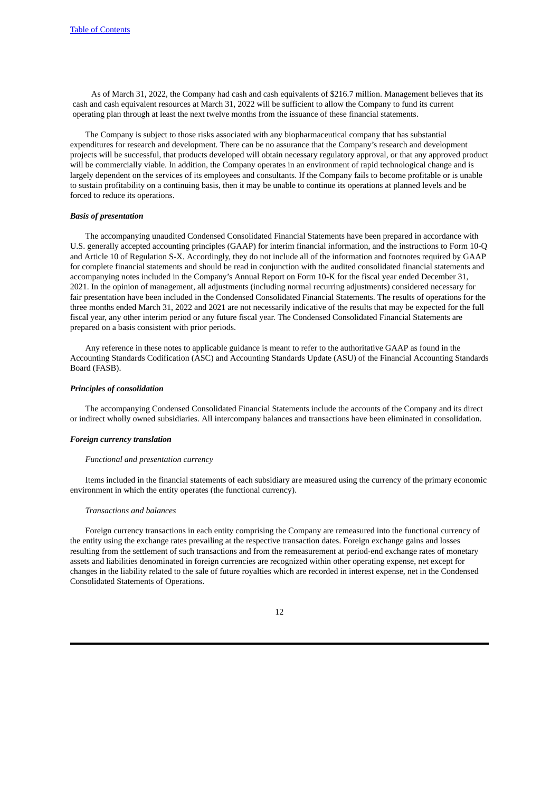As of March 31, 2022, the Company had cash and cash equivalents of \$216.7 million. Management believes that its cash and cash equivalent resources at March 31, 2022 will be sufficient to allow the Company to fund its current operating plan through at least the next twelve months from the issuance of these financial statements.

The Company is subject to those risks associated with any biopharmaceutical company that has substantial expenditures for research and development. There can be no assurance that the Company's research and development projects will be successful, that products developed will obtain necessary regulatory approval, or that any approved product will be commercially viable. In addition, the Company operates in an environment of rapid technological change and is largely dependent on the services of its employees and consultants. If the Company fails to become profitable or is unable to sustain profitability on a continuing basis, then it may be unable to continue its operations at planned levels and be forced to reduce its operations.

#### *Basis of presentation*

The accompanying unaudited Condensed Consolidated Financial Statements have been prepared in accordance with U.S. generally accepted accounting principles (GAAP) for interim financial information, and the instructions to Form 10-Q and Article 10 of Regulation S-X. Accordingly, they do not include all of the information and footnotes required by GAAP for complete financial statements and should be read in conjunction with the audited consolidated financial statements and accompanying notes included in the Company's Annual Report on Form 10-K for the fiscal year ended December 31, 2021. In the opinion of management, all adjustments (including normal recurring adjustments) considered necessary for fair presentation have been included in the Condensed Consolidated Financial Statements. The results of operations for the three months ended March 31, 2022 and 2021 are not necessarily indicative of the results that may be expected for the full fiscal year, any other interim period or any future fiscal year. The Condensed Consolidated Financial Statements are prepared on a basis consistent with prior periods.

Any reference in these notes to applicable guidance is meant to refer to the authoritative GAAP as found in the Accounting Standards Codification (ASC) and Accounting Standards Update (ASU) of the Financial Accounting Standards Board (FASB).

### *Principles of consolidation*

The accompanying Condensed Consolidated Financial Statements include the accounts of the Company and its direct or indirect wholly owned subsidiaries. All intercompany balances and transactions have been eliminated in consolidation.

#### *Foreign currency translation*

#### *Functional and presentation currency*

Items included in the financial statements of each subsidiary are measured using the currency of the primary economic environment in which the entity operates (the functional currency).

### *Transactions and balances*

Foreign currency transactions in each entity comprising the Company are remeasured into the functional currency of the entity using the exchange rates prevailing at the respective transaction dates. Foreign exchange gains and losses resulting from the settlement of such transactions and from the remeasurement at period-end exchange rates of monetary assets and liabilities denominated in foreign currencies are recognized within other operating expense, net except for changes in the liability related to the sale of future royalties which are recorded in interest expense, net in the Condensed Consolidated Statements of Operations.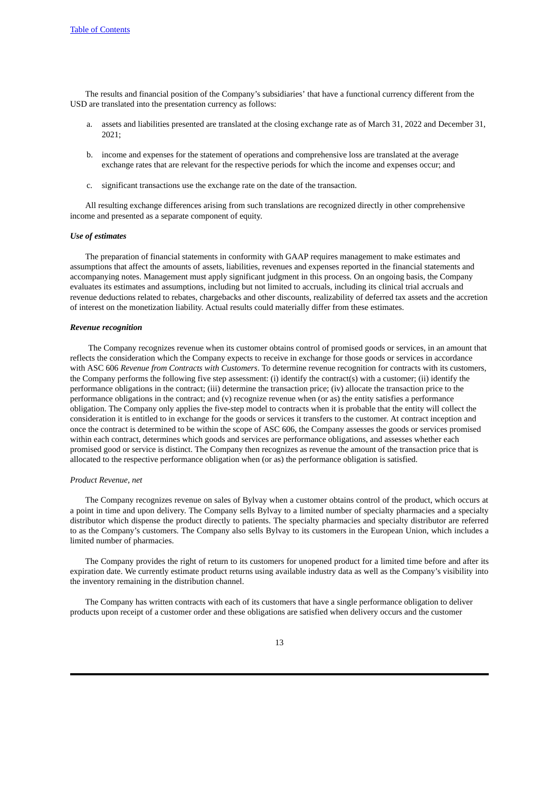The results and financial position of the Company's subsidiaries' that have a functional currency different from the USD are translated into the presentation currency as follows:

- a. assets and liabilities presented are translated at the closing exchange rate as of March 31, 2022 and December 31, 2021;
- b. income and expenses for the statement of operations and comprehensive loss are translated at the average exchange rates that are relevant for the respective periods for which the income and expenses occur; and
- c. significant transactions use the exchange rate on the date of the transaction.

All resulting exchange differences arising from such translations are recognized directly in other comprehensive income and presented as a separate component of equity.

#### *Use of estimates*

The preparation of financial statements in conformity with GAAP requires management to make estimates and assumptions that affect the amounts of assets, liabilities, revenues and expenses reported in the financial statements and accompanying notes. Management must apply significant judgment in this process. On an ongoing basis, the Company evaluates its estimates and assumptions, including but not limited to accruals, including its clinical trial accruals and revenue deductions related to rebates, chargebacks and other discounts, realizability of deferred tax assets and the accretion of interest on the monetization liability. Actual results could materially differ from these estimates.

#### *Revenue recognition*

The Company recognizes revenue when its customer obtains control of promised goods or services, in an amount that reflects the consideration which the Company expects to receive in exchange for those goods or services in accordance with ASC 606 *Revenue from Contracts with Customers*. To determine revenue recognition for contracts with its customers, the Company performs the following five step assessment: (i) identify the contract(s) with a customer; (ii) identify the performance obligations in the contract; (iii) determine the transaction price; (iv) allocate the transaction price to the performance obligations in the contract; and (v) recognize revenue when (or as) the entity satisfies a performance obligation. The Company only applies the five-step model to contracts when it is probable that the entity will collect the consideration it is entitled to in exchange for the goods or services it transfers to the customer. At contract inception and once the contract is determined to be within the scope of ASC 606, the Company assesses the goods or services promised within each contract, determines which goods and services are performance obligations, and assesses whether each promised good or service is distinct. The Company then recognizes as revenue the amount of the transaction price that is allocated to the respective performance obligation when (or as) the performance obligation is satisfied.

#### *Product Revenue, net*

The Company recognizes revenue on sales of Bylvay when a customer obtains control of the product, which occurs at a point in time and upon delivery. The Company sells Bylvay to a limited number of specialty pharmacies and a specialty distributor which dispense the product directly to patients. The specialty pharmacies and specialty distributor are referred to as the Company's customers. The Company also sells Bylvay to its customers in the European Union, which includes a limited number of pharmacies.

The Company provides the right of return to its customers for unopened product for a limited time before and after its expiration date. We currently estimate product returns using available industry data as well as the Company's visibility into the inventory remaining in the distribution channel.

The Company has written contracts with each of its customers that have a single performance obligation to deliver products upon receipt of a customer order and these obligations are satisfied when delivery occurs and the customer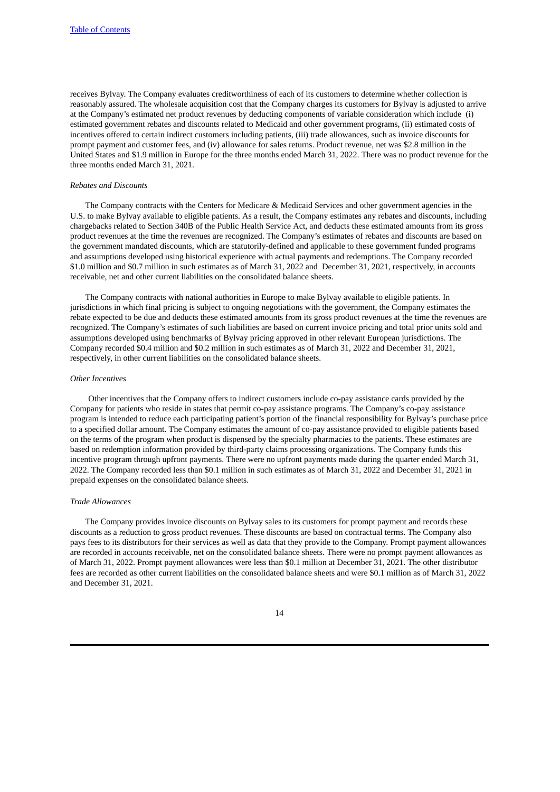receives Bylvay. The Company evaluates creditworthiness of each of its customers to determine whether collection is reasonably assured. The wholesale acquisition cost that the Company charges its customers for Bylvay is adjusted to arrive at the Company's estimated net product revenues by deducting components of variable consideration which include (i) estimated government rebates and discounts related to Medicaid and other government programs, (ii) estimated costs of incentives offered to certain indirect customers including patients, (iii) trade allowances, such as invoice discounts for prompt payment and customer fees, and (iv) allowance for sales returns. Product revenue, net was \$2.8 million in the United States and \$1.9 million in Europe for the three months ended March 31, 2022. There was no product revenue for the three months ended March 31, 2021.

### *Rebates and Discounts*

The Company contracts with the Centers for Medicare & Medicaid Services and other government agencies in the U.S. to make Bylvay available to eligible patients. As a result, the Company estimates any rebates and discounts, including chargebacks related to Section 340B of the Public Health Service Act, and deducts these estimated amounts from its gross product revenues at the time the revenues are recognized. The Company's estimates of rebates and discounts are based on the government mandated discounts, which are statutorily-defined and applicable to these government funded programs and assumptions developed using historical experience with actual payments and redemptions. The Company recorded \$1.0 million and \$0.7 million in such estimates as of March 31, 2022 and December 31, 2021, respectively, in accounts receivable, net and other current liabilities on the consolidated balance sheets.

The Company contracts with national authorities in Europe to make Bylvay available to eligible patients. In jurisdictions in which final pricing is subject to ongoing negotiations with the government, the Company estimates the rebate expected to be due and deducts these estimated amounts from its gross product revenues at the time the revenues are recognized. The Company's estimates of such liabilities are based on current invoice pricing and total prior units sold and assumptions developed using benchmarks of Bylvay pricing approved in other relevant European jurisdictions. The Company recorded \$0.4 million and \$0.2 million in such estimates as of March 31, 2022 and December 31, 2021, respectively, in other current liabilities on the consolidated balance sheets.

### *Other Incentives*

Other incentives that the Company offers to indirect customers include co-pay assistance cards provided by the Company for patients who reside in states that permit co-pay assistance programs. The Company's co-pay assistance program is intended to reduce each participating patient's portion of the financial responsibility for Bylvay's purchase price to a specified dollar amount. The Company estimates the amount of co-pay assistance provided to eligible patients based on the terms of the program when product is dispensed by the specialty pharmacies to the patients. These estimates are based on redemption information provided by third-party claims processing organizations. The Company funds this incentive program through upfront payments. There were no upfront payments made during the quarter ended March 31, 2022. The Company recorded less than \$0.1 million in such estimates as of March 31, 2022 and December 31, 2021 in prepaid expenses on the consolidated balance sheets.

#### *Trade Allowances*

The Company provides invoice discounts on Bylvay sales to its customers for prompt payment and records these discounts as a reduction to gross product revenues. These discounts are based on contractual terms. The Company also pays fees to its distributors for their services as well as data that they provide to the Company. Prompt payment allowances are recorded in accounts receivable, net on the consolidated balance sheets. There were no prompt payment allowances as of March 31, 2022. Prompt payment allowances were less than \$0.1 million at December 31, 2021. The other distributor fees are recorded as other current liabilities on the consolidated balance sheets and were \$0.1 million as of March 31, 2022 and December 31, 2021.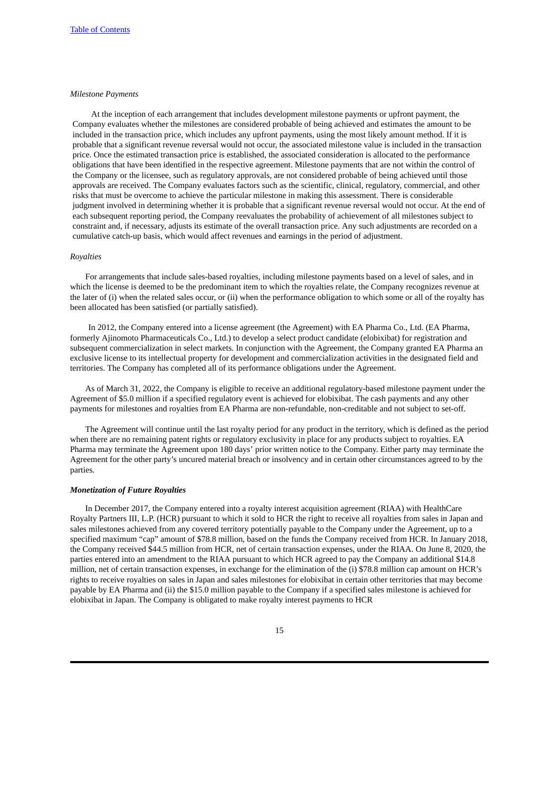#### *Milestone Payments*

At the inception of each arrangement that includes development milestone payments or upfront payment, the Company evaluates whether the milestones are considered probable of being achieved and estimates the amount to be included in the transaction price, which includes any upfront payments, using the most likely amount method. If it is probable that a significant revenue reversal would not occur, the associated milestone value is included in the transaction price. Once the estimated transaction price is established, the associated consideration is allocated to the performance obligations that have been identified in the respective agreement. Milestone payments that are not within the control of the Company or the licensee, such as regulatory approvals, are not considered probable of being achieved until those approvals are received. The Company evaluates factors such as the scientific, clinical, regulatory, commercial, and other risks that must be overcome to achieve the particular milestone in making this assessment. There is considerable judgment involved in determining whether it is probable that a significant revenue reversal would not occur. At the end of each subsequent reporting period, the Company reevaluates the probability of achievement of all milestones subject to constraint and, if necessary, adjusts its estimate of the overall transaction price. Any such adjustments are recorded on a cumulative catch-up basis, which would affect revenues and earnings in the period of adjustment.

#### *Royalties*

For arrangements that include sales-based royalties, including milestone payments based on a level of sales, and in which the license is deemed to be the predominant item to which the royalties relate, the Company recognizes revenue at the later of (i) when the related sales occur, or (ii) when the performance obligation to which some or all of the royalty has been allocated has been satisfied (or partially satisfied).

In 2012, the Company entered into a license agreement (the Agreement) with EA Pharma Co., Ltd. (EA Pharma, formerly Ajinomoto Pharmaceuticals Co., Ltd.) to develop a select product candidate (elobixibat) for registration and subsequent commercialization in select markets. In conjunction with the Agreement, the Company granted EA Pharma an exclusive license to its intellectual property for development and commercialization activities in the designated field and territories. The Company has completed all of its performance obligations under the Agreement.

As of March 31, 2022, the Company is eligible to receive an additional regulatory-based milestone payment under the Agreement of \$5.0 million if a specified regulatory event is achieved for elobixibat. The cash payments and any other payments for milestones and royalties from EA Pharma are non-refundable, non-creditable and not subject to set-off.

The Agreement will continue until the last royalty period for any product in the territory, which is defined as the period when there are no remaining patent rights or regulatory exclusivity in place for any products subject to royalties. EA Pharma may terminate the Agreement upon 180 days' prior written notice to the Company. Either party may terminate the Agreement for the other party's uncured material breach or insolvency and in certain other circumstances agreed to by the parties.

#### *Monetization of Future Royalties*

In December 2017, the Company entered into a royalty interest acquisition agreement (RIAA) with HealthCare Royalty Partners III, L.P. (HCR) pursuant to which it sold to HCR the right to receive all royalties from sales in Japan and sales milestones achieved from any covered territory potentially payable to the Company under the Agreement, up to a specified maximum "cap" amount of \$78.8 million, based on the funds the Company received from HCR. In January 2018, the Company received \$44.5 million from HCR, net of certain transaction expenses, under the RIAA. On June 8, 2020, the parties entered into an amendment to the RIAA pursuant to which HCR agreed to pay the Company an additional \$14.8 million, net of certain transaction expenses, in exchange for the elimination of the (i) \$78.8 million cap amount on HCR's rights to receive royalties on sales in Japan and sales milestones for elobixibat in certain other territories that may become payable by EA Pharma and (ii) the \$15.0 million payable to the Company if a specified sales milestone is achieved for elobixibat in Japan. The Company is obligated to make royalty interest payments to HCR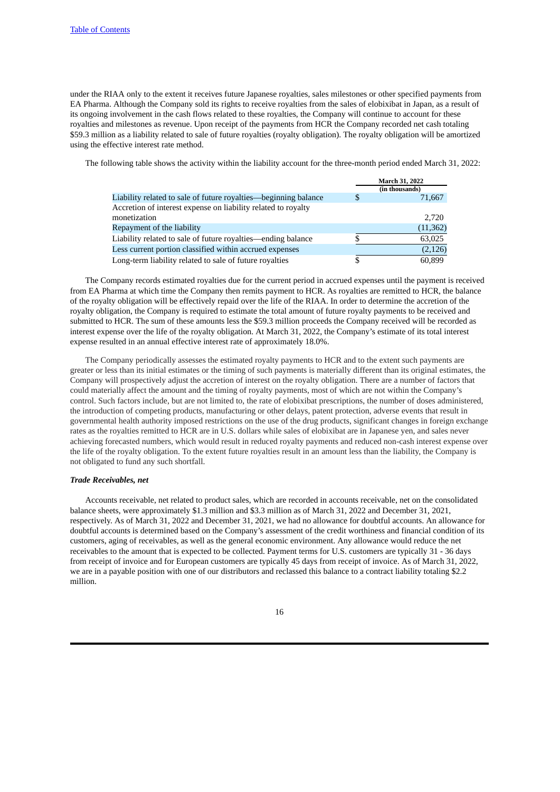under the RIAA only to the extent it receives future Japanese royalties, sales milestones or other specified payments from EA Pharma. Although the Company sold its rights to receive royalties from the sales of elobixibat in Japan, as a result of its ongoing involvement in the cash flows related to these royalties, the Company will continue to account for these royalties and milestones as revenue. Upon receipt of the payments from HCR the Company recorded net cash totaling \$59.3 million as a liability related to sale of future royalties (royalty obligation). The royalty obligation will be amortized using the effective interest rate method.

The following table shows the activity within the liability account for the three-month period ended March 31, 2022:

|                                                                 |    | March 31, 2022 |
|-----------------------------------------------------------------|----|----------------|
|                                                                 |    | (in thousands) |
| Liability related to sale of future royalties—beginning balance | S  | 71,667         |
| Accretion of interest expense on liability related to royalty   |    |                |
| monetization                                                    |    | 2.720          |
| Repayment of the liability                                      |    | (11, 362)      |
| Liability related to sale of future royalties—ending balance    |    | 63,025         |
| Less current portion classified within accrued expenses         |    | (2, 126)       |
| Long-term liability related to sale of future royalties         | \$ | 60.899         |

The Company records estimated royalties due for the current period in accrued expenses until the payment is received from EA Pharma at which time the Company then remits payment to HCR. As royalties are remitted to HCR, the balance of the royalty obligation will be effectively repaid over the life of the RIAA. In order to determine the accretion of the royalty obligation, the Company is required to estimate the total amount of future royalty payments to be received and submitted to HCR. The sum of these amounts less the \$59.3 million proceeds the Company received will be recorded as interest expense over the life of the royalty obligation. At March 31, 2022, the Company's estimate of its total interest expense resulted in an annual effective interest rate of approximately 18.0%.

The Company periodically assesses the estimated royalty payments to HCR and to the extent such payments are greater or less than its initial estimates or the timing of such payments is materially different than its original estimates, the Company will prospectively adjust the accretion of interest on the royalty obligation. There are a number of factors that could materially affect the amount and the timing of royalty payments, most of which are not within the Company's control. Such factors include, but are not limited to, the rate of elobixibat prescriptions, the number of doses administered, the introduction of competing products, manufacturing or other delays, patent protection, adverse events that result in governmental health authority imposed restrictions on the use of the drug products, significant changes in foreign exchange rates as the royalties remitted to HCR are in U.S. dollars while sales of elobixibat are in Japanese yen, and sales never achieving forecasted numbers, which would result in reduced royalty payments and reduced non-cash interest expense over the life of the royalty obligation. To the extent future royalties result in an amount less than the liability, the Company is not obligated to fund any such shortfall.

### *Trade Receivables, net*

Accounts receivable, net related to product sales, which are recorded in accounts receivable, net on the consolidated balance sheets, were approximately \$1.3 million and \$3.3 million as of March 31, 2022 and December 31, 2021, respectively. As of March 31, 2022 and December 31, 2021, we had no allowance for doubtful accounts. An allowance for doubtful accounts is determined based on the Company's assessment of the credit worthiness and financial condition of its customers, aging of receivables, as well as the general economic environment. Any allowance would reduce the net receivables to the amount that is expected to be collected. Payment terms for U.S. customers are typically 31 - 36 days from receipt of invoice and for European customers are typically 45 days from receipt of invoice. As of March 31, 2022, we are in a payable position with one of our distributors and reclassed this balance to a contract liability totaling \$2.2 million.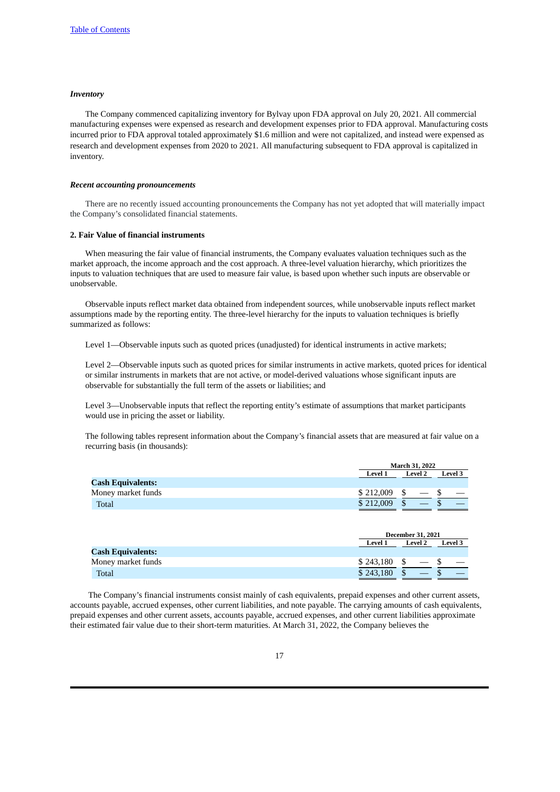#### *Inventory*

The Company commenced capitalizing inventory for Bylvay upon FDA approval on July 20, 2021. All commercial manufacturing expenses were expensed as research and development expenses prior to FDA approval. Manufacturing costs incurred prior to FDA approval totaled approximately \$1.6 million and were not capitalized, and instead were expensed as research and development expenses from 2020 to 2021. All manufacturing subsequent to FDA approval is capitalized in inventory.

#### *Recent accounting pronouncements*

There are no recently issued accounting pronouncements the Company has not yet adopted that will materially impact the Company's consolidated financial statements.

### **2. Fair Value of financial instruments**

When measuring the fair value of financial instruments, the Company evaluates valuation techniques such as the market approach, the income approach and the cost approach. A three-level valuation hierarchy, which prioritizes the inputs to valuation techniques that are used to measure fair value, is based upon whether such inputs are observable or unobservable.

Observable inputs reflect market data obtained from independent sources, while unobservable inputs reflect market assumptions made by the reporting entity. The three-level hierarchy for the inputs to valuation techniques is briefly summarized as follows:

Level 1—Observable inputs such as quoted prices (unadjusted) for identical instruments in active markets;

Level 2—Observable inputs such as quoted prices for similar instruments in active markets, quoted prices for identical or similar instruments in markets that are not active, or model-derived valuations whose significant inputs are observable for substantially the full term of the assets or liabilities; and

Level 3—Unobservable inputs that reflect the reporting entity's estimate of assumptions that market participants would use in pricing the asset or liability.

The following tables represent information about the Company's financial assets that are measured at fair value on a recurring basis (in thousands):

|                          | <b>March 31, 2022</b> |                |                |  |  |
|--------------------------|-----------------------|----------------|----------------|--|--|
|                          | <b>Level 1</b>        | <b>Level 2</b> | <b>Level</b> 3 |  |  |
| <b>Cash Equivalents:</b> |                       |                |                |  |  |
| Money market funds       | \$212,009             | S.             |                |  |  |
| <b>Total</b>             | \$212,009             |                |                |  |  |

|                          |                | <b>December 31, 2021</b> |                |  |  |  |
|--------------------------|----------------|--------------------------|----------------|--|--|--|
|                          | <b>Level 1</b> | <b>Level 2</b>           | <b>Level 3</b> |  |  |  |
| <b>Cash Equivalents:</b> |                |                          |                |  |  |  |
| Money market funds       | \$243,180      | <b>S</b>                 |                |  |  |  |
| <b>Total</b>             | \$243,180      |                          |                |  |  |  |

The Company's financial instruments consist mainly of cash equivalents, prepaid expenses and other current assets, accounts payable, accrued expenses, other current liabilities, and note payable. The carrying amounts of cash equivalents, prepaid expenses and other current assets, accounts payable, accrued expenses, and other current liabilities approximate their estimated fair value due to their short-term maturities. At March 31, 2022, the Company believes the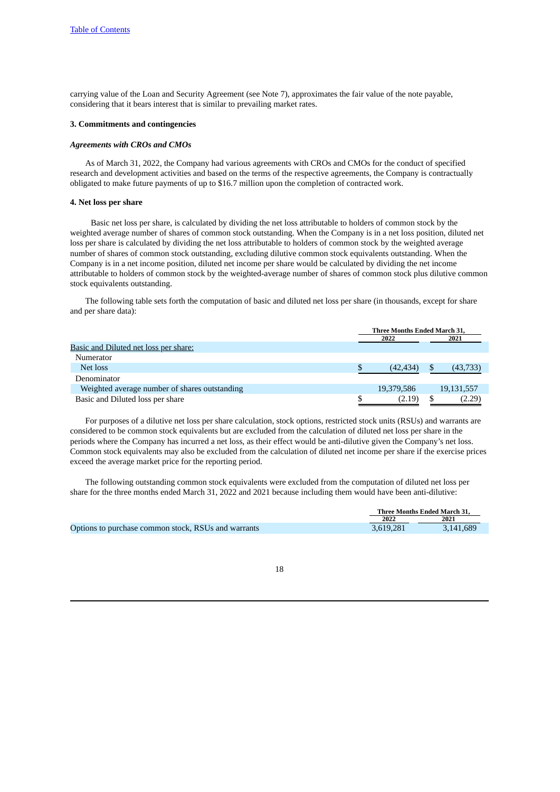carrying value of the Loan and Security Agreement (see Note 7), approximates the fair value of the note payable, considering that it bears interest that is similar to prevailing market rates.

#### **3. Commitments and contingencies**

#### *Agreements with CROs and CMOs*

As of March 31, 2022, the Company had various agreements with CROs and CMOs for the conduct of specified research and development activities and based on the terms of the respective agreements, the Company is contractually obligated to make future payments of up to \$16.7 million upon the completion of contracted work.

#### **4. Net loss per share**

Basic net loss per share, is calculated by dividing the net loss attributable to holders of common stock by the weighted average number of shares of common stock outstanding. When the Company is in a net loss position, diluted net loss per share is calculated by dividing the net loss attributable to holders of common stock by the weighted average number of shares of common stock outstanding, excluding dilutive common stock equivalents outstanding. When the Company is in a net income position, diluted net income per share would be calculated by dividing the net income attributable to holders of common stock by the weighted-average number of shares of common stock plus dilutive common stock equivalents outstanding.

The following table sets forth the computation of basic and diluted net loss per share (in thousands, except for share and per share data):

|                                               |   | Three Months Ended March 31, |      |            |  |  |
|-----------------------------------------------|---|------------------------------|------|------------|--|--|
|                                               |   | 2022                         | 2021 |            |  |  |
| Basic and Diluted net loss per share:         |   |                              |      |            |  |  |
| Numerator                                     |   |                              |      |            |  |  |
| Net loss                                      | S | (42, 434)                    |      | (43,733)   |  |  |
| Denominator                                   |   |                              |      |            |  |  |
| Weighted average number of shares outstanding |   | 19,379,586                   |      | 19,131,557 |  |  |
| Basic and Diluted loss per share              |   | (2.19)                       |      | (2.29)     |  |  |

For purposes of a dilutive net loss per share calculation, stock options, restricted stock units (RSUs) and warrants are considered to be common stock equivalents but are excluded from the calculation of diluted net loss per share in the periods where the Company has incurred a net loss, as their effect would be anti-dilutive given the Company's net loss. Common stock equivalents may also be excluded from the calculation of diluted net income per share if the exercise prices exceed the average market price for the reporting period.

The following outstanding common stock equivalents were excluded from the computation of diluted net loss per share for the three months ended March 31, 2022 and 2021 because including them would have been anti-dilutive:

|                                                     |           | Three Months Ended March 31. |
|-----------------------------------------------------|-----------|------------------------------|
|                                                     | 2022      | 2021                         |
| Options to purchase common stock, RSUs and warrants | 3.619.281 | 3.141.689                    |

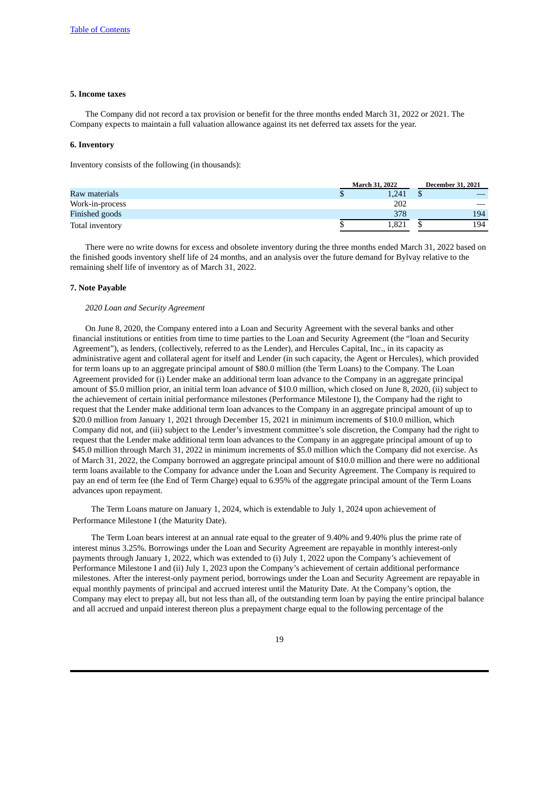#### **5. Income taxes**

The Company did not record a tax provision or benefit for the three months ended March 31, 2022 or 2021. The Company expects to maintain a full valuation allowance against its net deferred tax assets for the year.

#### **6. Inventory**

Inventory consists of the following (in thousands):

|                 | <b>March 31, 2022</b> | <b>December 31, 2021</b> |
|-----------------|-----------------------|--------------------------|
| Raw materials   | 1.241                 |                          |
| Work-in-process | 202                   |                          |
| Finished goods  | 378                   | 194                      |
| Total inventory | L.821                 | 194                      |

There were no write downs for excess and obsolete inventory during the three months ended March 31, 2022 based on the finished goods inventory shelf life of 24 months, and an analysis over the future demand for Bylvay relative to the remaining shelf life of inventory as of March 31, 2022.

#### **7. Note Payable**

#### *2020 Loan and Security Agreement*

On June 8, 2020, the Company entered into a Loan and Security Agreement with the several banks and other financial institutions or entities from time to time parties to the Loan and Security Agreement (the "loan and Security Agreement"), as lenders, (collectively, referred to as the Lender), and Hercules Capital, Inc., in its capacity as administrative agent and collateral agent for itself and Lender (in such capacity, the Agent or Hercules), which provided for term loans up to an aggregate principal amount of \$80.0 million (the Term Loans) to the Company. The Loan Agreement provided for (i) Lender make an additional term loan advance to the Company in an aggregate principal amount of \$5.0 million prior, an initial term loan advance of \$10.0 million, which closed on June 8, 2020, (ii) subject to the achievement of certain initial performance milestones (Performance Milestone I), the Company had the right to request that the Lender make additional term loan advances to the Company in an aggregate principal amount of up to \$20.0 million from January 1, 2021 through December 15, 2021 in minimum increments of \$10.0 million, which Company did not, and (iii) subject to the Lender's investment committee's sole discretion, the Company had the right to request that the Lender make additional term loan advances to the Company in an aggregate principal amount of up to \$45.0 million through March 31, 2022 in minimum increments of \$5.0 million which the Company did not exercise. As of March 31, 2022, the Company borrowed an aggregate principal amount of \$10.0 million and there were no additional term loans available to the Company for advance under the Loan and Security Agreement. The Company is required to pay an end of term fee (the End of Term Charge) equal to 6.95% of the aggregate principal amount of the Term Loans advances upon repayment.

The Term Loans mature on January 1, 2024, which is extendable to July 1, 2024 upon achievement of Performance Milestone I (the Maturity Date).

The Term Loan bears interest at an annual rate equal to the greater of 9.40% and 9.40% plus the prime rate of interest minus 3.25%. Borrowings under the Loan and Security Agreement are repayable in monthly interest-only payments through January 1, 2022, which was extended to (i) July 1, 2022 upon the Company's achievement of Performance Milestone I and (ii) July 1, 2023 upon the Company's achievement of certain additional performance milestones. After the interest-only payment period, borrowings under the Loan and Security Agreement are repayable in equal monthly payments of principal and accrued interest until the Maturity Date. At the Company's option, the Company may elect to prepay all, but not less than all, of the outstanding term loan by paying the entire principal balance and all accrued and unpaid interest thereon plus a prepayment charge equal to the following percentage of the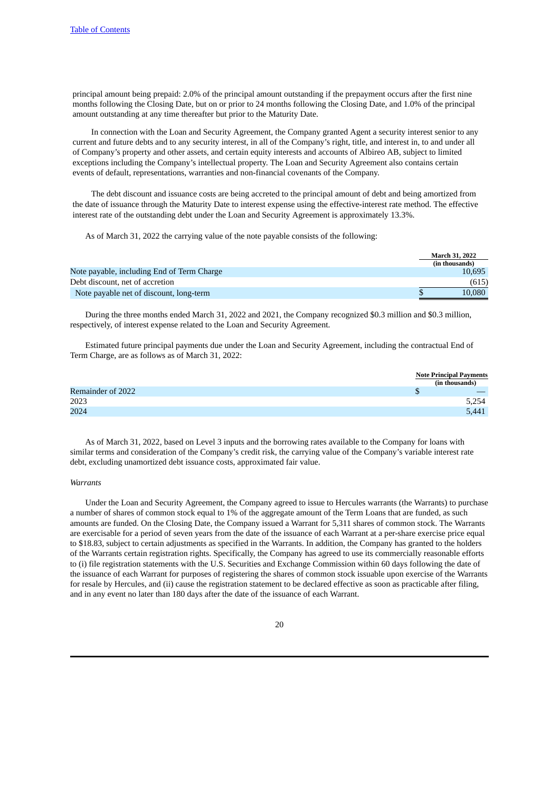principal amount being prepaid: 2.0% of the principal amount outstanding if the prepayment occurs after the first nine months following the Closing Date, but on or prior to 24 months following the Closing Date, and 1.0% of the principal amount outstanding at any time thereafter but prior to the Maturity Date.

In connection with the Loan and Security Agreement, the Company granted Agent a security interest senior to any current and future debts and to any security interest, in all of the Company's right, title, and interest in, to and under all of Company's property and other assets, and certain equity interests and accounts of Albireo AB, subject to limited exceptions including the Company's intellectual property. The Loan and Security Agreement also contains certain events of default, representations, warranties and non-financial covenants of the Company.

The debt discount and issuance costs are being accreted to the principal amount of debt and being amortized from the date of issuance through the Maturity Date to interest expense using the effective-interest rate method. The effective interest rate of the outstanding debt under the Loan and Security Agreement is approximately 13.3%.

As of March 31, 2022 the carrying value of the note payable consists of the following:

|                                            | March 31, 2022 |
|--------------------------------------------|----------------|
|                                            | (in thousands) |
| Note payable, including End of Term Charge | 10.695         |
| Debt discount, net of accretion            | (615)          |
| Note payable net of discount, long-term    | 10.080         |

During the three months ended March 31, 2022 and 2021, the Company recognized \$0.3 million and \$0.3 million, respectively, of interest expense related to the Loan and Security Agreement.

Estimated future principal payments due under the Loan and Security Agreement, including the contractual End of Term Charge, are as follows as of March 31, 2022:

|                   | <b>Note Principal Payments</b> |       |
|-------------------|--------------------------------|-------|
|                   | (in thousands)                 |       |
| Remainder of 2022 |                                |       |
| 2023              |                                | 5,254 |
| 2024              |                                | 5.441 |

As of March 31, 2022, based on Level 3 inputs and the borrowing rates available to the Company for loans with similar terms and consideration of the Company's credit risk, the carrying value of the Company's variable interest rate debt, excluding unamortized debt issuance costs, approximated fair value.

#### *Warrants*

Under the Loan and Security Agreement, the Company agreed to issue to Hercules warrants (the Warrants) to purchase a number of shares of common stock equal to 1% of the aggregate amount of the Term Loans that are funded, as such amounts are funded. On the Closing Date, the Company issued a Warrant for 5,311 shares of common stock. The Warrants are exercisable for a period of seven years from the date of the issuance of each Warrant at a per-share exercise price equal to \$18.83, subject to certain adjustments as specified in the Warrants. In addition, the Company has granted to the holders of the Warrants certain registration rights. Specifically, the Company has agreed to use its commercially reasonable efforts to (i) file registration statements with the U.S. Securities and Exchange Commission within 60 days following the date of the issuance of each Warrant for purposes of registering the shares of common stock issuable upon exercise of the Warrants for resale by Hercules, and (ii) cause the registration statement to be declared effective as soon as practicable after filing, and in any event no later than 180 days after the date of the issuance of each Warrant.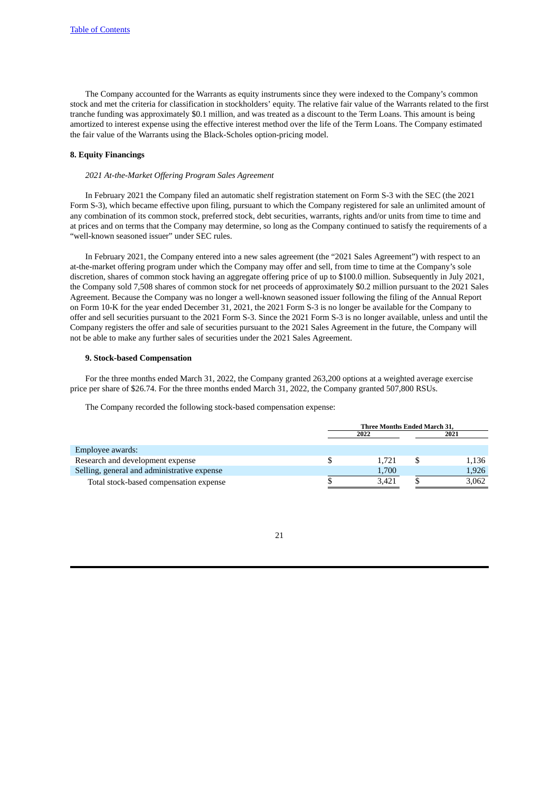The Company accounted for the Warrants as equity instruments since they were indexed to the Company's common stock and met the criteria for classification in stockholders' equity. The relative fair value of the Warrants related to the first tranche funding was approximately \$0.1 million, and was treated as a discount to the Term Loans. This amount is being amortized to interest expense using the effective interest method over the life of the Term Loans. The Company estimated the fair value of the Warrants using the Black-Scholes option-pricing model.

#### **8. Equity Financings**

### *2021 At-the-Market Offering Program Sales Agreement*

In February 2021 the Company filed an automatic shelf registration statement on Form S-3 with the SEC (the 2021 Form S-3), which became effective upon filing, pursuant to which the Company registered for sale an unlimited amount of any combination of its common stock, preferred stock, debt securities, warrants, rights and/or units from time to time and at prices and on terms that the Company may determine, so long as the Company continued to satisfy the requirements of a "well-known seasoned issuer" under SEC rules.

In February 2021, the Company entered into a new sales agreement (the "2021 Sales Agreement") with respect to an at-the-market offering program under which the Company may offer and sell, from time to time at the Company's sole discretion, shares of common stock having an aggregate offering price of up to \$100.0 million. Subsequently in July 2021, the Company sold 7,508 shares of common stock for net proceeds of approximately \$0.2 million pursuant to the 2021 Sales Agreement. Because the Company was no longer a well-known seasoned issuer following the filing of the Annual Report on Form 10-K for the year ended December 31, 2021, the 2021 Form S-3 is no longer be available for the Company to offer and sell securities pursuant to the 2021 Form S-3. Since the 2021 Form S-3 is no longer available, unless and until the Company registers the offer and sale of securities pursuant to the 2021 Sales Agreement in the future, the Company will not be able to make any further sales of securities under the 2021 Sales Agreement.

#### **9. Stock-based Compensation**

For the three months ended March 31, 2022, the Company granted 263,200 options at a weighted average exercise price per share of \$26.74. For the three months ended March 31, 2022, the Company granted 507,800 RSUs.

The Company recorded the following stock-based compensation expense:

|                                             | Three Months Ended March 31, |       |  |       |  |  |  |  |
|---------------------------------------------|------------------------------|-------|--|-------|--|--|--|--|
|                                             | 2022                         |       |  | 2021  |  |  |  |  |
|                                             |                              |       |  |       |  |  |  |  |
| Employee awards:                            |                              |       |  |       |  |  |  |  |
| Research and development expense            |                              | 1.721 |  | 1,136 |  |  |  |  |
| Selling, general and administrative expense |                              | 1.700 |  | 1,926 |  |  |  |  |
| Total stock-based compensation expense      |                              | 3.421 |  | 3,062 |  |  |  |  |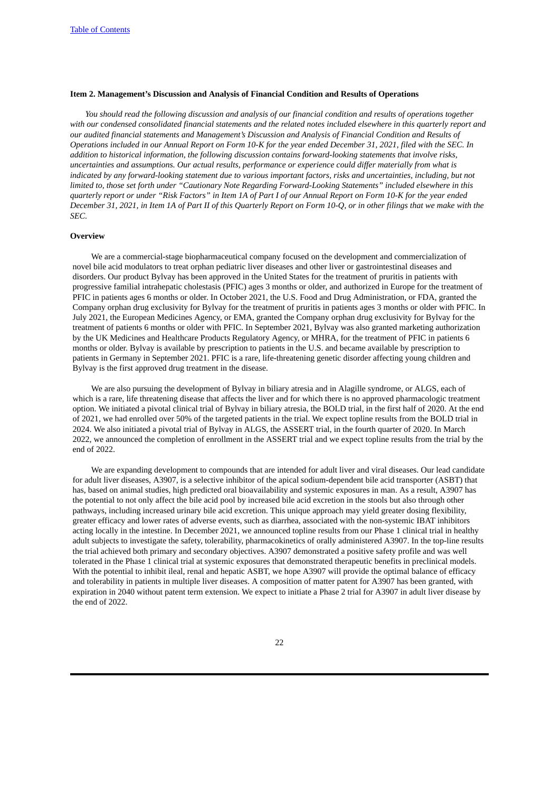#### <span id="page-21-0"></span>**Item 2. Management's Discussion and Analysis of Financial Condition and Results of Operations**

You should read the following discussion and analysis of our financial condition and results of operations together with our condensed consolidated financial statements and the related notes included elsewhere in this quarterly report and *our audited financial statements and Management's Discussion and Analysis of Financial Condition and Results of* Operations included in our Annual Report on Form 10-K for the year ended December 31, 2021, filed with the SEC. In *addition to historical information, the following discussion contains forward-looking statements that involve risks, uncertainties and assumptions. Our actual results, performance or experience could differ materially from what is* indicated by any forward-looking statement due to various important factors, risks and uncertainties, including, but not *limited to, those set forth under "Cautionary Note Regarding Forward-Looking Statements" included elsewhere in this* quarterly report or under "Risk Factors" in Item 1A of Part I of our Annual Report on Form 10-K for the year ended December 31, 2021, in Item 1A of Part II of this Quarterly Report on Form 10-Q, or in other filings that we make with the *SEC.*

#### **Overview**

We are a commercial-stage biopharmaceutical company focused on the development and commercialization of novel bile acid modulators to treat orphan pediatric liver diseases and other liver or gastrointestinal diseases and disorders. Our product Bylvay has been approved in the United States for the treatment of pruritis in patients with progressive familial intrahepatic cholestasis (PFIC) ages 3 months or older, and authorized in Europe for the treatment of PFIC in patients ages 6 months or older. In October 2021, the U.S. Food and Drug Administration, or FDA, granted the Company orphan drug exclusivity for Bylvay for the treatment of pruritis in patients ages 3 months or older with PFIC. In July 2021, the European Medicines Agency, or EMA, granted the Company orphan drug exclusivity for Bylvay for the treatment of patients 6 months or older with PFIC. In September 2021, Bylvay was also granted marketing authorization by the UK Medicines and Healthcare Products Regulatory Agency, or MHRA, for the treatment of PFIC in patients 6 months or older. Bylvay is available by prescription to patients in the U.S. and became available by prescription to patients in Germany in September 2021. PFIC is a rare, life-threatening genetic disorder affecting young children and Bylvay is the first approved drug treatment in the disease.

We are also pursuing the development of Bylvay in biliary atresia and in Alagille syndrome, or ALGS, each of which is a rare, life threatening disease that affects the liver and for which there is no approved pharmacologic treatment option. We initiated a pivotal clinical trial of Bylvay in biliary atresia, the BOLD trial, in the first half of 2020. At the end of 2021, we had enrolled over 50% of the targeted patients in the trial. We expect topline results from the BOLD trial in 2024. We also initiated a pivotal trial of Bylvay in ALGS, the ASSERT trial, in the fourth quarter of 2020. In March 2022, we announced the completion of enrollment in the ASSERT trial and we expect topline results from the trial by the end of 2022.

We are expanding development to compounds that are intended for adult liver and viral diseases. Our lead candidate for adult liver diseases, A3907, is a selective inhibitor of the apical sodium-dependent bile acid transporter (ASBT) that has, based on animal studies, high predicted oral bioavailability and systemic exposures in man. As a result, A3907 has the potential to not only affect the bile acid pool by increased bile acid excretion in the stools but also through other pathways, including increased urinary bile acid excretion. This unique approach may yield greater dosing flexibility, greater efficacy and lower rates of adverse events, such as diarrhea, associated with the non-systemic IBAT inhibitors acting locally in the intestine. In December 2021, we announced topline results from our Phase 1 clinical trial in healthy adult subjects to investigate the safety, tolerability, pharmacokinetics of orally administered A3907. In the top-line results the trial achieved both primary and secondary objectives. A3907 demonstrated a positive safety profile and was well tolerated in the Phase 1 clinical trial at systemic exposures that demonstrated therapeutic benefits in preclinical models. With the potential to inhibit ileal, renal and hepatic ASBT, we hope A3907 will provide the optimal balance of efficacy and tolerability in patients in multiple liver diseases. A composition of matter patent for A3907 has been granted, with expiration in 2040 without patent term extension. We expect to initiate a Phase 2 trial for A3907 in adult liver disease by the end of 2022.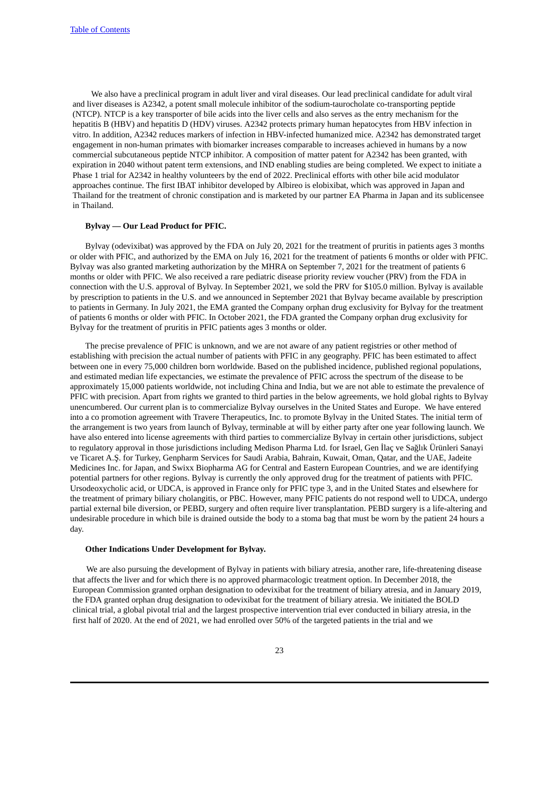We also have a preclinical program in adult liver and viral diseases. Our lead preclinical candidate for adult viral and liver diseases is A2342, a potent small molecule inhibitor of the sodium-taurocholate co-transporting peptide (NTCP). NTCP is a key transporter of bile acids into the liver cells and also serves as the entry mechanism for the hepatitis B (HBV) and hepatitis D (HDV) viruses. A2342 protects primary human hepatocytes from HBV infection in vitro. In addition, A2342 reduces markers of infection in HBV-infected humanized mice. A2342 has demonstrated target engagement in non-human primates with biomarker increases comparable to increases achieved in humans by a now commercial subcutaneous peptide NTCP inhibitor. A composition of matter patent for A2342 has been granted, with expiration in 2040 without patent term extensions, and IND enabling studies are being completed. We expect to initiate a Phase 1 trial for A2342 in healthy volunteers by the end of 2022. Preclinical efforts with other bile acid modulator approaches continue. The first IBAT inhibitor developed by Albireo is elobixibat, which was approved in Japan and Thailand for the treatment of chronic constipation and is marketed by our partner EA Pharma in Japan and its sublicensee in Thailand.

#### **Bylvay — Our Lead Product for PFIC.**

Bylvay (odevixibat) was approved by the FDA on July 20, 2021 for the treatment of pruritis in patients ages 3 months or older with PFIC, and authorized by the EMA on July 16, 2021 for the treatment of patients 6 months or older with PFIC. Bylvay was also granted marketing authorization by the MHRA on September 7, 2021 for the treatment of patients 6 months or older with PFIC. We also received a rare pediatric disease priority review voucher (PRV) from the FDA in connection with the U.S. approval of Bylvay. In September 2021, we sold the PRV for \$105.0 million. Bylvay is available by prescription to patients in the U.S. and we announced in September 2021 that Bylvay became available by prescription to patients in Germany. In July 2021, the EMA granted the Company orphan drug exclusivity for Bylvay for the treatment of patients 6 months or older with PFIC. In October 2021, the FDA granted the Company orphan drug exclusivity for Bylvay for the treatment of pruritis in PFIC patients ages 3 months or older.

The precise prevalence of PFIC is unknown, and we are not aware of any patient registries or other method of establishing with precision the actual number of patients with PFIC in any geography. PFIC has been estimated to affect between one in every 75,000 children born worldwide. Based on the published incidence, published regional populations, and estimated median life expectancies, we estimate the prevalence of PFIC across the spectrum of the disease to be approximately 15,000 patients worldwide, not including China and India, but we are not able to estimate the prevalence of PFIC with precision. Apart from rights we granted to third parties in the below agreements, we hold global rights to Bylvay unencumbered. Our current plan is to commercialize Bylvay ourselves in the United States and Europe. We have entered into a co promotion agreement with Travere Therapeutics, Inc. to promote Bylvay in the United States. The initial term of the arrangement is two years from launch of Bylvay, terminable at will by either party after one year following launch. We have also entered into license agreements with third parties to commercialize Bylvay in certain other jurisdictions, subject to regulatory approval in those jurisdictions including Medison Pharma Ltd. for Israel, Gen İlaç ve Sağlık Ürünleri Sanayi ve Ticaret A.Ş. for Turkey, Genpharm Services for Saudi Arabia, Bahrain, Kuwait, Oman, Qatar, and the UAE, Jadeite Medicines Inc. for Japan, and Swixx Biopharma AG for Central and Eastern European Countries, and we are identifying potential partners for other regions. Bylvay is currently the only approved drug for the treatment of patients with PFIC. Ursodeoxycholic acid, or UDCA, is approved in France only for PFIC type 3, and in the United States and elsewhere for the treatment of primary biliary cholangitis, or PBC. However, many PFIC patients do not respond well to UDCA, undergo partial external bile diversion, or PEBD, surgery and often require liver transplantation. PEBD surgery is a life-altering and undesirable procedure in which bile is drained outside the body to a stoma bag that must be worn by the patient 24 hours a day.

### **Other Indications Under Development for Bylvay.**

We are also pursuing the development of Bylvay in patients with biliary atresia, another rare, life-threatening disease that affects the liver and for which there is no approved pharmacologic treatment option. In December 2018, the European Commission granted orphan designation to odevixibat for the treatment of biliary atresia, and in January 2019, the FDA granted orphan drug designation to odevixibat for the treatment of biliary atresia. We initiated the BOLD clinical trial, a global pivotal trial and the largest prospective intervention trial ever conducted in biliary atresia, in the first half of 2020. At the end of 2021, we had enrolled over 50% of the targeted patients in the trial and we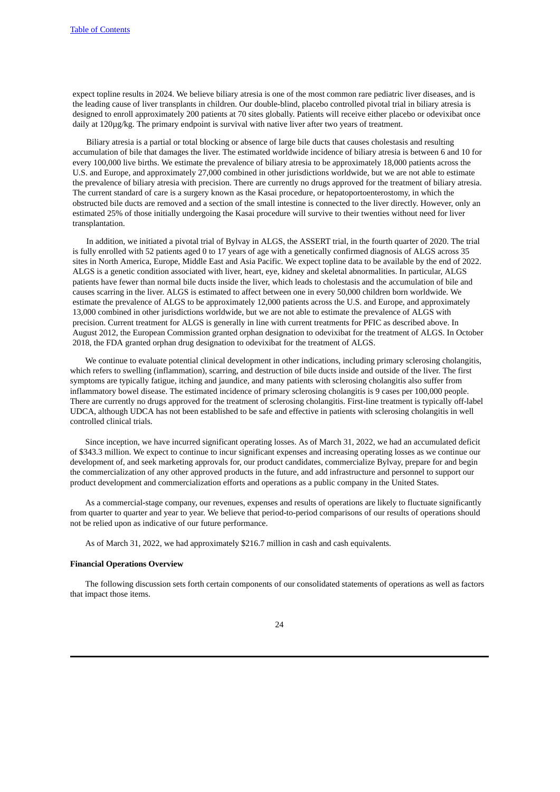expect topline results in 2024. We believe biliary atresia is one of the most common rare pediatric liver diseases, and is the leading cause of liver transplants in children. Our double-blind, placebo controlled pivotal trial in biliary atresia is designed to enroll approximately 200 patients at 70 sites globally. Patients will receive either placebo or odevixibat once daily at 120µg/kg. The primary endpoint is survival with native liver after two years of treatment.

Biliary atresia is a partial or total blocking or absence of large bile ducts that causes cholestasis and resulting accumulation of bile that damages the liver. The estimated worldwide incidence of biliary atresia is between 6 and 10 for every 100,000 live births. We estimate the prevalence of biliary atresia to be approximately 18,000 patients across the U.S. and Europe, and approximately 27,000 combined in other jurisdictions worldwide, but we are not able to estimate the prevalence of biliary atresia with precision. There are currently no drugs approved for the treatment of biliary atresia. The current standard of care is a surgery known as the Kasai procedure, or hepatoportoenterostomy, in which the obstructed bile ducts are removed and a section of the small intestine is connected to the liver directly. However, only an estimated 25% of those initially undergoing the Kasai procedure will survive to their twenties without need for liver transplantation.

In addition, we initiated a pivotal trial of Bylvay in ALGS, the ASSERT trial, in the fourth quarter of 2020. The trial is fully enrolled with 52 patients aged 0 to 17 years of age with a genetically confirmed diagnosis of ALGS across 35 sites in North America, Europe, Middle East and Asia Pacific. We expect topline data to be available by the end of 2022. ALGS is a genetic condition associated with liver, heart, eye, kidney and skeletal abnormalities. In particular, ALGS patients have fewer than normal bile ducts inside the liver, which leads to cholestasis and the accumulation of bile and causes scarring in the liver. ALGS is estimated to affect between one in every 50,000 children born worldwide. We estimate the prevalence of ALGS to be approximately 12,000 patients across the U.S. and Europe, and approximately 13,000 combined in other jurisdictions worldwide, but we are not able to estimate the prevalence of ALGS with precision. Current treatment for ALGS is generally in line with current treatments for PFIC as described above. In August 2012, the European Commission granted orphan designation to odevixibat for the treatment of ALGS. In October 2018, the FDA granted orphan drug designation to odevixibat for the treatment of ALGS.

We continue to evaluate potential clinical development in other indications, including primary sclerosing cholangitis, which refers to swelling (inflammation), scarring, and destruction of bile ducts inside and outside of the liver. The first symptoms are typically fatigue, itching and jaundice, and many patients with sclerosing cholangitis also suffer from inflammatory bowel disease. The estimated incidence of primary sclerosing cholangitis is 9 cases per 100,000 people. There are currently no drugs approved for the treatment of sclerosing cholangitis. First-line treatment is typically off-label UDCA, although UDCA has not been established to be safe and effective in patients with sclerosing cholangitis in well controlled clinical trials.

Since inception, we have incurred significant operating losses. As of March 31, 2022, we had an accumulated deficit of \$343.3 million. We expect to continue to incur significant expenses and increasing operating losses as we continue our development of, and seek marketing approvals for, our product candidates, commercialize Bylvay, prepare for and begin the commercialization of any other approved products in the future, and add infrastructure and personnel to support our product development and commercialization efforts and operations as a public company in the United States.

As a commercial-stage company, our revenues, expenses and results of operations are likely to fluctuate significantly from quarter to quarter and year to year. We believe that period-to-period comparisons of our results of operations should not be relied upon as indicative of our future performance.

As of March 31, 2022, we had approximately \$216.7 million in cash and cash equivalents.

#### **Financial Operations Overview**

The following discussion sets forth certain components of our consolidated statements of operations as well as factors that impact those items.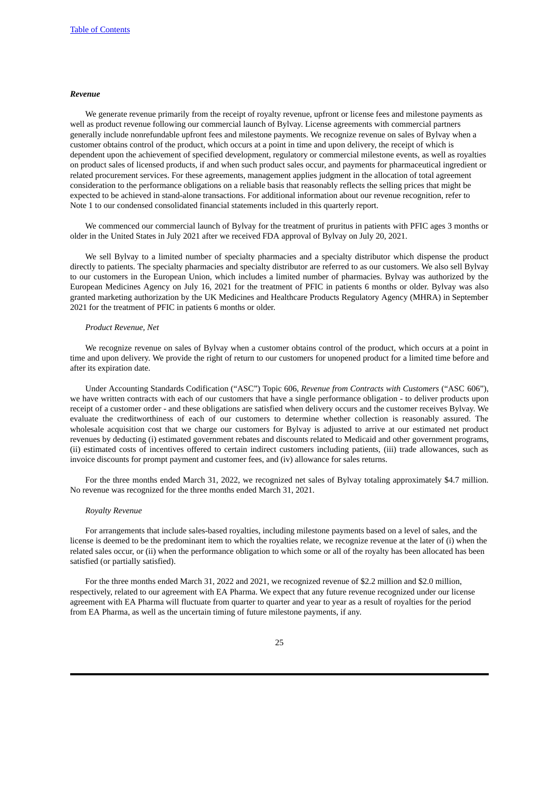#### *Revenue*

We generate revenue primarily from the receipt of royalty revenue, upfront or license fees and milestone payments as well as product revenue following our commercial launch of Bylvay. License agreements with commercial partners generally include nonrefundable upfront fees and milestone payments. We recognize revenue on sales of Bylvay when a customer obtains control of the product, which occurs at a point in time and upon delivery, the receipt of which is dependent upon the achievement of specified development, regulatory or commercial milestone events, as well as royalties on product sales of licensed products, if and when such product sales occur, and payments for pharmaceutical ingredient or related procurement services. For these agreements, management applies judgment in the allocation of total agreement consideration to the performance obligations on a reliable basis that reasonably reflects the selling prices that might be expected to be achieved in stand-alone transactions. For additional information about our revenue recognition, refer to Note 1 to our condensed consolidated financial statements included in this quarterly report.

We commenced our commercial launch of Bylvay for the treatment of pruritus in patients with PFIC ages 3 months or older in the United States in July 2021 after we received FDA approval of Bylvay on July 20, 2021.

We sell Bylvay to a limited number of specialty pharmacies and a specialty distributor which dispense the product directly to patients. The specialty pharmacies and specialty distributor are referred to as our customers. We also sell Bylvay to our customers in the European Union, which includes a limited number of pharmacies. Bylvay was authorized by the European Medicines Agency on July 16, 2021 for the treatment of PFIC in patients 6 months or older. Bylvay was also granted marketing authorization by the UK Medicines and Healthcare Products Regulatory Agency (MHRA) in September 2021 for the treatment of PFIC in patients 6 months or older.

### *Product Revenue, Net*

We recognize revenue on sales of Bylvay when a customer obtains control of the product, which occurs at a point in time and upon delivery. We provide the right of return to our customers for unopened product for a limited time before and after its expiration date.

Under Accounting Standards Codification ("ASC") Topic 606, *Revenue from Contracts with Customers* ("ASC 606"), we have written contracts with each of our customers that have a single performance obligation - to deliver products upon receipt of a customer order - and these obligations are satisfied when delivery occurs and the customer receives Bylvay. We evaluate the creditworthiness of each of our customers to determine whether collection is reasonably assured. The wholesale acquisition cost that we charge our customers for Bylvay is adjusted to arrive at our estimated net product revenues by deducting (i) estimated government rebates and discounts related to Medicaid and other government programs, (ii) estimated costs of incentives offered to certain indirect customers including patients, (iii) trade allowances, such as invoice discounts for prompt payment and customer fees, and (iv) allowance for sales returns.

For the three months ended March 31, 2022, we recognized net sales of Bylvay totaling approximately \$4.7 million. No revenue was recognized for the three months ended March 31, 2021.

#### *Royalty Revenue*

For arrangements that include sales-based royalties, including milestone payments based on a level of sales, and the license is deemed to be the predominant item to which the royalties relate, we recognize revenue at the later of (i) when the related sales occur, or (ii) when the performance obligation to which some or all of the royalty has been allocated has been satisfied (or partially satisfied).

For the three months ended March 31, 2022 and 2021, we recognized revenue of \$2.2 million and \$2.0 million, respectively, related to our agreement with EA Pharma. We expect that any future revenue recognized under our license agreement with EA Pharma will fluctuate from quarter to quarter and year to year as a result of royalties for the period from EA Pharma, as well as the uncertain timing of future milestone payments, if any.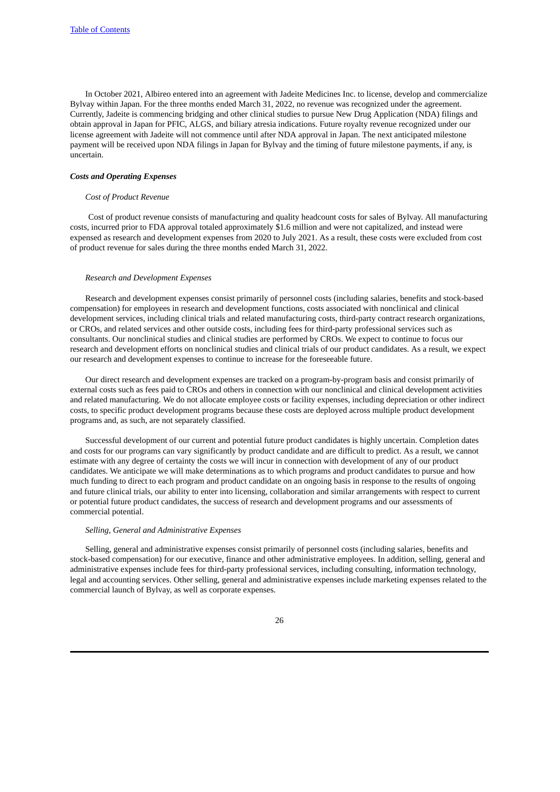In October 2021, Albireo entered into an agreement with Jadeite Medicines Inc. to license, develop and commercialize Bylvay within Japan. For the three months ended March 31, 2022, no revenue was recognized under the agreement. Currently, Jadeite is commencing bridging and other clinical studies to pursue New Drug Application (NDA) filings and obtain approval in Japan for PFIC, ALGS, and biliary atresia indications. Future royalty revenue recognized under our license agreement with Jadeite will not commence until after NDA approval in Japan. The next anticipated milestone payment will be received upon NDA filings in Japan for Bylvay and the timing of future milestone payments, if any, is uncertain.

#### *Costs and Operating Expenses*

#### *Cost of Product Revenue*

Cost of product revenue consists of manufacturing and quality headcount costs for sales of Bylvay. All manufacturing costs, incurred prior to FDA approval totaled approximately \$1.6 million and were not capitalized, and instead were expensed as research and development expenses from 2020 to July 2021. As a result, these costs were excluded from cost of product revenue for sales during the three months ended March 31, 2022.

#### *Research and Development Expenses*

Research and development expenses consist primarily of personnel costs (including salaries, benefits and stock-based compensation) for employees in research and development functions, costs associated with nonclinical and clinical development services, including clinical trials and related manufacturing costs, third-party contract research organizations, or CROs, and related services and other outside costs, including fees for third-party professional services such as consultants. Our nonclinical studies and clinical studies are performed by CROs. We expect to continue to focus our research and development efforts on nonclinical studies and clinical trials of our product candidates. As a result, we expect our research and development expenses to continue to increase for the foreseeable future.

Our direct research and development expenses are tracked on a program-by-program basis and consist primarily of external costs such as fees paid to CROs and others in connection with our nonclinical and clinical development activities and related manufacturing. We do not allocate employee costs or facility expenses, including depreciation or other indirect costs, to specific product development programs because these costs are deployed across multiple product development programs and, as such, are not separately classified.

Successful development of our current and potential future product candidates is highly uncertain. Completion dates and costs for our programs can vary significantly by product candidate and are difficult to predict. As a result, we cannot estimate with any degree of certainty the costs we will incur in connection with development of any of our product candidates. We anticipate we will make determinations as to which programs and product candidates to pursue and how much funding to direct to each program and product candidate on an ongoing basis in response to the results of ongoing and future clinical trials, our ability to enter into licensing, collaboration and similar arrangements with respect to current or potential future product candidates, the success of research and development programs and our assessments of commercial potential.

### *Selling, General and Administrative Expenses*

Selling, general and administrative expenses consist primarily of personnel costs (including salaries, benefits and stock-based compensation) for our executive, finance and other administrative employees. In addition, selling, general and administrative expenses include fees for third-party professional services, including consulting, information technology, legal and accounting services. Other selling, general and administrative expenses include marketing expenses related to the commercial launch of Bylvay, as well as corporate expenses.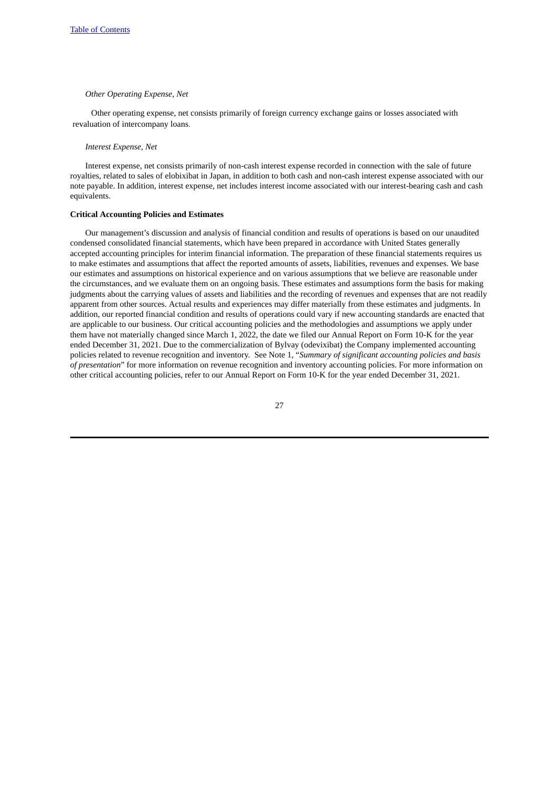### *Other Operating Expense, Net*

Other operating expense, net consists primarily of foreign currency exchange gains or losses associated with revaluation of intercompany loans.

#### *Interest Expense, Net*

Interest expense, net consists primarily of non-cash interest expense recorded in connection with the sale of future royalties, related to sales of elobixibat in Japan, in addition to both cash and non-cash interest expense associated with our note payable. In addition, interest expense, net includes interest income associated with our interest-bearing cash and cash equivalents.

### **Critical Accounting Policies and Estimates**

Our management's discussion and analysis of financial condition and results of operations is based on our unaudited condensed consolidated financial statements, which have been prepared in accordance with United States generally accepted accounting principles for interim financial information. The preparation of these financial statements requires us to make estimates and assumptions that affect the reported amounts of assets, liabilities, revenues and expenses. We base our estimates and assumptions on historical experience and on various assumptions that we believe are reasonable under the circumstances, and we evaluate them on an ongoing basis. These estimates and assumptions form the basis for making judgments about the carrying values of assets and liabilities and the recording of revenues and expenses that are not readily apparent from other sources. Actual results and experiences may differ materially from these estimates and judgments. In addition, our reported financial condition and results of operations could vary if new accounting standards are enacted that are applicable to our business. Our critical accounting policies and the methodologies and assumptions we apply under them have not materially changed since March 1, 2022, the date we filed our Annual Report on Form 10-K for the year ended December 31, 2021. Due to the commercialization of Bylvay (odevixibat) the Company implemented accounting policies related to revenue recognition and inventory. See Note 1, "*Summary of significant accounting policies and basis of presentation*" for more information on revenue recognition and inventory accounting policies. For more information on other critical accounting policies, refer to our Annual Report on Form 10-K for the year ended December 31, 2021.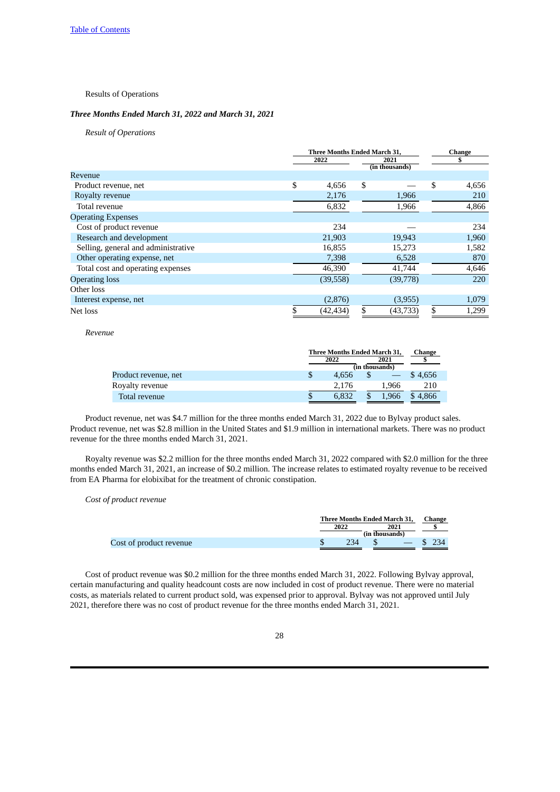### Results of Operations

### *Three Months Ended March 31, 2022 and March 31, 2021*

*Result of Operations*

|                                     | <b>Three Months Ended March 31.</b> |           |    |                        |    | Change |  |
|-------------------------------------|-------------------------------------|-----------|----|------------------------|----|--------|--|
|                                     |                                     | 2022      |    | 2021<br>(in thousands) |    | \$     |  |
| Revenue                             |                                     |           |    |                        |    |        |  |
| Product revenue, net                | \$                                  | 4,656     | \$ |                        | \$ | 4,656  |  |
| Royalty revenue                     |                                     | 2,176     |    | 1,966                  |    | 210    |  |
| Total revenue                       |                                     | 6,832     |    | 1,966                  |    | 4,866  |  |
| <b>Operating Expenses</b>           |                                     |           |    |                        |    |        |  |
| Cost of product revenue             |                                     | 234       |    |                        |    | 234    |  |
| Research and development            |                                     | 21,903    |    | 19,943                 |    | 1,960  |  |
| Selling, general and administrative |                                     | 16,855    |    | 15,273                 |    | 1,582  |  |
| Other operating expense, net        |                                     | 7,398     |    | 6,528                  |    | 870    |  |
| Total cost and operating expenses   |                                     | 46,390    |    | 41,744                 |    | 4,646  |  |
| <b>Operating loss</b>               |                                     | (39, 558) |    | (39,778)               |    | 220    |  |
| Other loss                          |                                     |           |    |                        |    |        |  |
| Interest expense, net               |                                     | (2,876)   |    | (3,955)                |    | 1,079  |  |
| Net loss                            | \$                                  | (42, 434) | \$ | (43, 733)              | \$ | 1,299  |  |

*Revenue*

|                      |    | Three Months Ended March 31, | Change |       |         |
|----------------------|----|------------------------------|--------|-------|---------|
|                      |    | 2022<br>2021                 |        |       |         |
|                      |    |                              |        |       |         |
| Product revenue, net | \$ | 4.656                        |        |       | \$4.656 |
| Royalty revenue      |    | 2.176                        |        | 1.966 | 210     |
| Total revenue        | \$ | 6.832                        |        | 1.966 | \$4.866 |

Product revenue, net was \$4.7 million for the three months ended March 31, 2022 due to Bylvay product sales. Product revenue, net was \$2.8 million in the United States and \$1.9 million in international markets. There was no product revenue for the three months ended March 31, 2021.

Royalty revenue was \$2.2 million for the three months ended March 31, 2022 compared with \$2.0 million for the three months ended March 31, 2021, an increase of \$0.2 million. The increase relates to estimated royalty revenue to be received from EA Pharma for elobixibat for the treatment of chronic constipation.

*Cost of product revenue*

|                         | Three Months Ended March 31, |                |  |  |  |
|-------------------------|------------------------------|----------------|--|--|--|
|                         | 2022                         | (in thousands) |  |  |  |
| Cost of product revenue | 734                          |                |  |  |  |

Cost of product revenue was \$0.2 million for the three months ended March 31, 2022. Following Bylvay approval, certain manufacturing and quality headcount costs are now included in cost of product revenue. There were no material costs, as materials related to current product sold, was expensed prior to approval. Bylvay was not approved until July 2021, therefore there was no cost of product revenue for the three months ended March 31, 2021.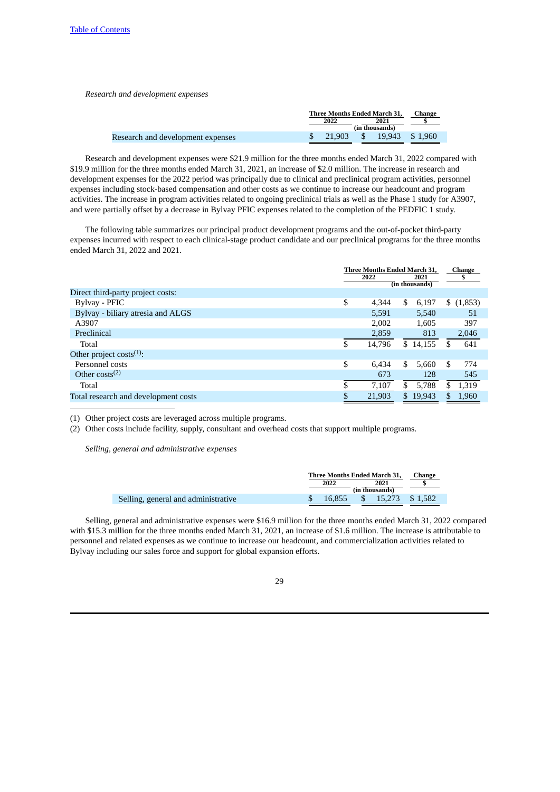*Research and development expenses*

|                                   | Three Months Ended March 31. | Change |        |         |
|-----------------------------------|------------------------------|--------|--------|---------|
|                                   | 2022                         |        | 2021   |         |
|                                   | (in thousands)               |        |        |         |
| Research and development expenses | 21.903                       | S.     | 19,943 | \$1.960 |

Research and development expenses were \$21.9 million for the three months ended March 31, 2022 compared with \$19.9 million for the three months ended March 31, 2021, an increase of \$2.0 million. The increase in research and development expenses for the 2022 period was principally due to clinical and preclinical program activities, personnel expenses including stock-based compensation and other costs as we continue to increase our headcount and program activities. The increase in program activities related to ongoing preclinical trials as well as the Phase 1 study for A3907, and were partially offset by a decrease in Bylvay PFIC expenses related to the completion of the PEDFIC 1 study.

The following table summarizes our principal product development programs and the out-of-pocket third-party expenses incurred with respect to each clinical-stage product candidate and our preclinical programs for the three months ended March 31, 2022 and 2021.

|                                      | <b>Three Months Ended March 31.</b> |        |    |          |     | Change    |  |
|--------------------------------------|-------------------------------------|--------|----|----------|-----|-----------|--|
|                                      | 2022                                |        |    | 2021     |     |           |  |
|                                      | (in thousands)                      |        |    |          |     |           |  |
| Direct third-party project costs:    |                                     |        |    |          |     |           |  |
| Bylvay - PFIC                        | \$                                  | 4,344  | \$ | 6,197    |     | \$(1,853) |  |
| Bylvay - biliary atresia and ALGS    |                                     | 5,591  |    | 5,540    |     | 51        |  |
| A3907                                |                                     | 2,002  |    | 1,605    |     | 397       |  |
| Preclinical                          |                                     | 2,859  |    | 813      |     | 2,046     |  |
| Total                                | \$                                  | 14.796 |    | \$14,155 | \$  | 641       |  |
| Other project costs $(1)$ :          |                                     |        |    |          |     |           |  |
| Personnel costs                      | \$                                  | 6.434  | \$ | 5.660    | \$. | 774       |  |
| Other $costs^{(2)}$                  |                                     | 673    |    | 128      |     | 545       |  |
| Total                                |                                     | 7.107  | \$ | 5.788    | \$  | 1,319     |  |
| Total research and development costs |                                     | 21,903 | \$ | 19,943   |     | 1,960     |  |
|                                      |                                     |        |    |          |     |           |  |

(1) Other project costs are leveraged across multiple programs.

(2) Other costs include facility, supply, consultant and overhead costs that support multiple programs.

*Selling, general and administrative expenses*

|                                     | <b>Three Months Ended March 31.</b> | Change |                    |  |
|-------------------------------------|-------------------------------------|--------|--------------------|--|
|                                     | 2022                                |        |                    |  |
|                                     |                                     |        |                    |  |
| Selling, general and administrative | 16.855                              |        | $$15.273$ $$1.582$ |  |

Selling, general and administrative expenses were \$16.9 million for the three months ended March 31, 2022 compared with \$15.3 million for the three months ended March 31, 2021, an increase of \$1.6 million. The increase is attributable to personnel and related expenses as we continue to increase our headcount, and commercialization activities related to Bylvay including our sales force and support for global expansion efforts.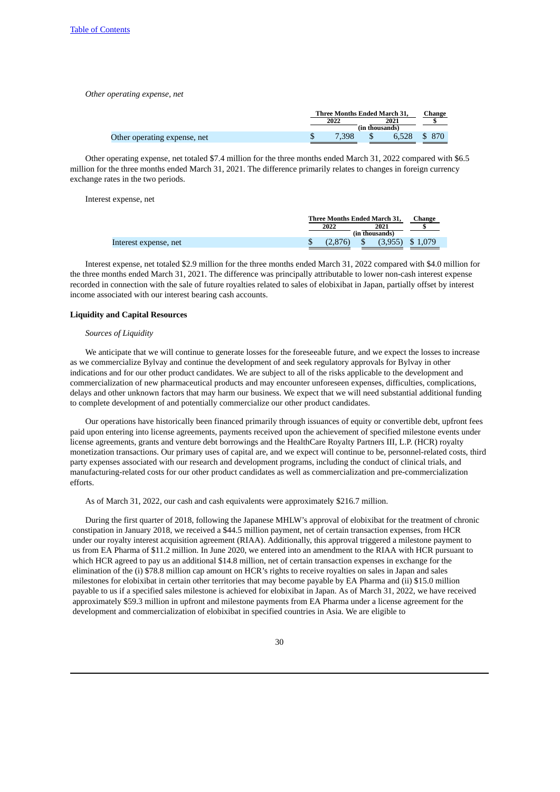*Other operating expense, net*

|                              | Three Months Ended March 31. |       |      | Change |                        |
|------------------------------|------------------------------|-------|------|--------|------------------------|
|                              | 2022                         |       | 2021 |        |                        |
|                              | (in thousands)               |       |      |        |                        |
| Other operating expense, net |                              | 7.398 |      | 6.528  | - 870<br><sup>\$</sup> |

Other operating expense, net totaled \$7.4 million for the three months ended March 31, 2022 compared with \$6.5 million for the three months ended March 31, 2021. The difference primarily relates to changes in foreign currency exchange rates in the two periods.

Interest expense, net

|                       | Three Months Ended March 31, | Change |                        |                    |
|-----------------------|------------------------------|--------|------------------------|--------------------|
|                       | 2022                         |        | 2021<br>(in thousands) |                    |
|                       |                              |        |                        |                    |
| Interest expense, net | (2.876)                      | - \$   |                        | $(3,955)$ \$ 1,079 |

Interest expense, net totaled \$2.9 million for the three months ended March 31, 2022 compared with \$4.0 million for the three months ended March 31, 2021. The difference was principally attributable to lower non-cash interest expense recorded in connection with the sale of future royalties related to sales of elobixibat in Japan, partially offset by interest income associated with our interest bearing cash accounts.

### **Liquidity and Capital Resources**

#### *Sources of Liquidity*

We anticipate that we will continue to generate losses for the foreseeable future, and we expect the losses to increase as we commercialize Bylvay and continue the development of and seek regulatory approvals for Bylvay in other indications and for our other product candidates. We are subject to all of the risks applicable to the development and commercialization of new pharmaceutical products and may encounter unforeseen expenses, difficulties, complications, delays and other unknown factors that may harm our business. We expect that we will need substantial additional funding to complete development of and potentially commercialize our other product candidates.

Our operations have historically been financed primarily through issuances of equity or convertible debt, upfront fees paid upon entering into license agreements, payments received upon the achievement of specified milestone events under license agreements, grants and venture debt borrowings and the HealthCare Royalty Partners III, L.P. (HCR) royalty monetization transactions. Our primary uses of capital are, and we expect will continue to be, personnel-related costs, third party expenses associated with our research and development programs, including the conduct of clinical trials, and manufacturing-related costs for our other product candidates as well as commercialization and pre-commercialization efforts.

As of March 31, 2022, our cash and cash equivalents were approximately \$216.7 million.

During the first quarter of 2018, following the Japanese MHLW's approval of elobixibat for the treatment of chronic constipation in January 2018, we received a \$44.5 million payment, net of certain transaction expenses, from HCR under our royalty interest acquisition agreement (RIAA). Additionally, this approval triggered a milestone payment to us from EA Pharma of \$11.2 million. In June 2020, we entered into an amendment to the RIAA with HCR pursuant to which HCR agreed to pay us an additional \$14.8 million, net of certain transaction expenses in exchange for the elimination of the (i) \$78.8 million cap amount on HCR's rights to receive royalties on sales in Japan and sales milestones for elobixibat in certain other territories that may become payable by EA Pharma and (ii) \$15.0 million payable to us if a specified sales milestone is achieved for elobixibat in Japan. As of March 31, 2022, we have received approximately \$59.3 million in upfront and milestone payments from EA Pharma under a license agreement for the development and commercialization of elobixibat in specified countries in Asia. We are eligible to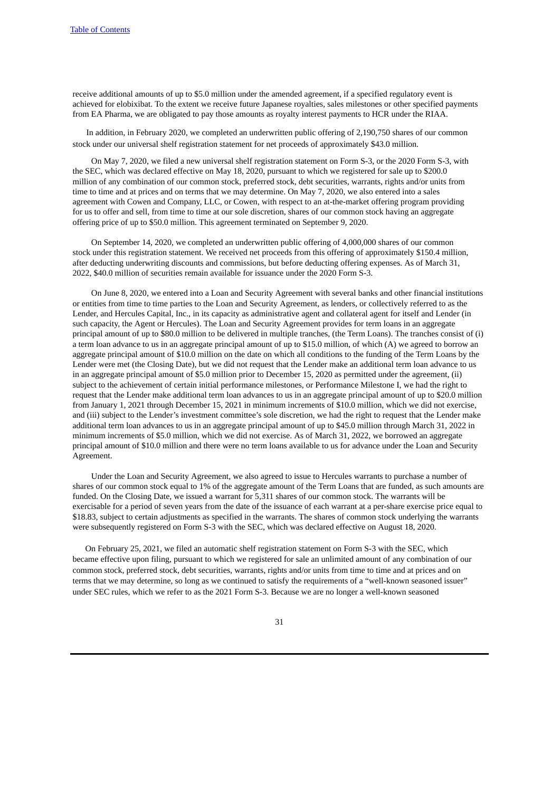receive additional amounts of up to \$5.0 million under the amended agreement, if a specified regulatory event is achieved for elobixibat. To the extent we receive future Japanese royalties, sales milestones or other specified payments from EA Pharma, we are obligated to pay those amounts as royalty interest payments to HCR under the RIAA.

In addition, in February 2020, we completed an underwritten public offering of 2,190,750 shares of our common stock under our universal shelf registration statement for net proceeds of approximately \$43.0 million.

On May 7, 2020, we filed a new universal shelf registration statement on Form S-3, or the 2020 Form S-3, with the SEC, which was declared effective on May 18, 2020, pursuant to which we registered for sale up to \$200.0 million of any combination of our common stock, preferred stock, debt securities, warrants, rights and/or units from time to time and at prices and on terms that we may determine. On May 7, 2020, we also entered into a sales agreement with Cowen and Company, LLC, or Cowen, with respect to an at-the-market offering program providing for us to offer and sell, from time to time at our sole discretion, shares of our common stock having an aggregate offering price of up to \$50.0 million. This agreement terminated on September 9, 2020.

On September 14, 2020, we completed an underwritten public offering of 4,000,000 shares of our common stock under this registration statement. We received net proceeds from this offering of approximately \$150.4 million, after deducting underwriting discounts and commissions, but before deducting offering expenses. As of March 31, 2022, \$40.0 million of securities remain available for issuance under the 2020 Form S-3.

On June 8, 2020, we entered into a Loan and Security Agreement with several banks and other financial institutions or entities from time to time parties to the Loan and Security Agreement, as lenders, or collectively referred to as the Lender, and Hercules Capital, Inc., in its capacity as administrative agent and collateral agent for itself and Lender (in such capacity, the Agent or Hercules). The Loan and Security Agreement provides for term loans in an aggregate principal amount of up to \$80.0 million to be delivered in multiple tranches, (the Term Loans). The tranches consist of (i) a term loan advance to us in an aggregate principal amount of up to \$15.0 million, of which (A) we agreed to borrow an aggregate principal amount of \$10.0 million on the date on which all conditions to the funding of the Term Loans by the Lender were met (the Closing Date), but we did not request that the Lender make an additional term loan advance to us in an aggregate principal amount of \$5.0 million prior to December 15, 2020 as permitted under the agreement, (ii) subject to the achievement of certain initial performance milestones, or Performance Milestone I, we had the right to request that the Lender make additional term loan advances to us in an aggregate principal amount of up to \$20.0 million from January 1, 2021 through December 15, 2021 in minimum increments of \$10.0 million, which we did not exercise, and (iii) subject to the Lender's investment committee's sole discretion, we had the right to request that the Lender make additional term loan advances to us in an aggregate principal amount of up to \$45.0 million through March 31, 2022 in minimum increments of \$5.0 million, which we did not exercise. As of March 31, 2022, we borrowed an aggregate principal amount of \$10.0 million and there were no term loans available to us for advance under the Loan and Security Agreement.

Under the Loan and Security Agreement, we also agreed to issue to Hercules warrants to purchase a number of shares of our common stock equal to 1% of the aggregate amount of the Term Loans that are funded, as such amounts are funded. On the Closing Date, we issued a warrant for 5,311 shares of our common stock. The warrants will be exercisable for a period of seven years from the date of the issuance of each warrant at a per-share exercise price equal to \$18.83, subject to certain adjustments as specified in the warrants. The shares of common stock underlying the warrants were subsequently registered on Form S-3 with the SEC, which was declared effective on August 18, 2020.

On February 25, 2021, we filed an automatic shelf registration statement on Form S-3 with the SEC, which became effective upon filing, pursuant to which we registered for sale an unlimited amount of any combination of our common stock, preferred stock, debt securities, warrants, rights and/or units from time to time and at prices and on terms that we may determine, so long as we continued to satisfy the requirements of a "well-known seasoned issuer" under SEC rules, which we refer to as the 2021 Form S-3. Because we are no longer a well-known seasoned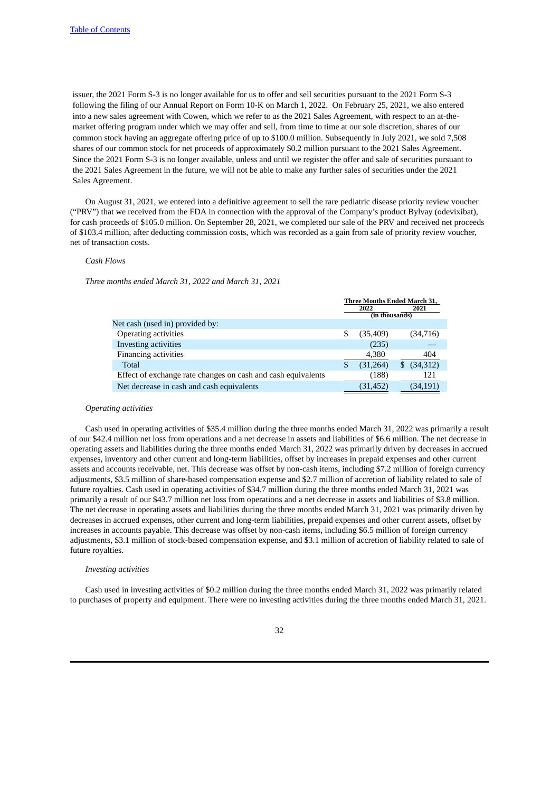issuer, the 2021 Form S-3 is no longer available for us to offer and sell securities pursuant to the 2021 Form S-3 following the filing of our Annual Report on Form 10-K on March 1, 2022. On February 25, 2021, we also entered into a new sales agreement with Cowen, which we refer to as the 2021 Sales Agreement, with respect to an at-themarket offering program under which we may offer and sell, from time to time at our sole discretion, shares of our common stock having an aggregate offering price of up to \$100.0 million. Subsequently in July 2021, we sold 7,508 shares of our common stock for net proceeds of approximately \$0.2 million pursuant to the 2021 Sales Agreement. Since the 2021 Form S-3 is no longer available, unless and until we register the offer and sale of securities pursuant to the 2021 Sales Agreement in the future, we will not be able to make any further sales of securities under the 2021 Sales Agreement.

On August 31, 2021, we entered into a definitive agreement to sell the rare pediatric disease priority review voucher ("PRV") that we received from the FDA in connection with the approval of the Company's product Bylvay (odevixibat), for cash proceeds of \$105.0 million. On September 28, 2021, we completed our sale of the PRV and received net proceeds of \$103.4 million, after deducting commission costs, which was recorded as a gain from sale of priority review voucher, net of transaction costs.

### *Cash Flows*

*Three months ended March 31, 2022 and March 31, 2021*

|                                                              | Three Months Ended March 31, |                |          |  |  |
|--------------------------------------------------------------|------------------------------|----------------|----------|--|--|
|                                                              |                              | 2022           | 2021     |  |  |
|                                                              |                              | (in thousands) |          |  |  |
| Net cash (used in) provided by:                              |                              |                |          |  |  |
| Operating activities                                         | \$                           | (35, 409)      | (34,716) |  |  |
| Investing activities                                         |                              | (235)          |          |  |  |
| Financing activities                                         |                              | 4,380          | 404      |  |  |
| Total                                                        | S                            | (31,264)       | (34,312) |  |  |
| Effect of exchange rate changes on cash and cash equivalents |                              | (188)          | 121      |  |  |
| Net decrease in cash and cash equivalents                    |                              | (31,452)       | (34,191) |  |  |

#### *Operating activities*

Cash used in operating activities of \$35.4 million during the three months ended March 31, 2022 was primarily a result of our \$42.4 million net loss from operations and a net decrease in assets and liabilities of \$6.6 million. The net decrease in operating assets and liabilities during the three months ended March 31, 2022 was primarily driven by decreases in accrued expenses, inventory and other current and long-term liabilities, offset by increases in prepaid expenses and other current assets and accounts receivable, net. This decrease was offset by non-cash items, including \$7.2 million of foreign currency adjustments, \$3.5 million of share-based compensation expense and \$2.7 million of accretion of liability related to sale of future royalties. Cash used in operating activities of \$34.7 million during the three months ended March 31, 2021 was primarily a result of our \$43.7 million net loss from operations and a net decrease in assets and liabilities of \$3.8 million. The net decrease in operating assets and liabilities during the three months ended March 31, 2021 was primarily driven by decreases in accrued expenses, other current and long-term liabilities, prepaid expenses and other current assets, offset by increases in accounts payable. This decrease was offset by non-cash items, including \$6.5 million of foreign currency adjustments, \$3.1 million of stock-based compensation expense, and \$3.1 million of accretion of liability related to sale of future royalties.

#### *Investing activities*

Cash used in investing activities of \$0.2 million during the three months ended March 31, 2022 was primarily related to purchases of property and equipment. There were no investing activities during the three months ended March 31, 2021.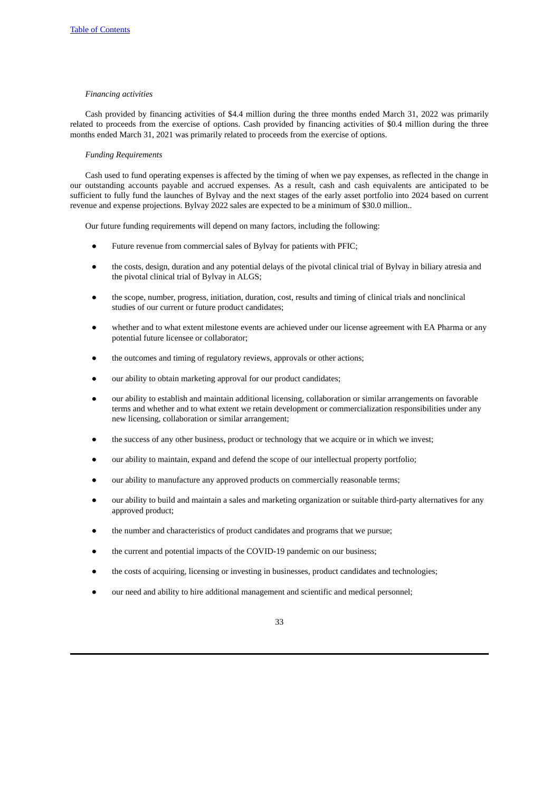### *Financing activities*

Cash provided by financing activities of \$4.4 million during the three months ended March 31, 2022 was primarily related to proceeds from the exercise of options. Cash provided by financing activities of \$0.4 million during the three months ended March 31, 2021 was primarily related to proceeds from the exercise of options.

#### *Funding Requirements*

Cash used to fund operating expenses is affected by the timing of when we pay expenses, as reflected in the change in our outstanding accounts payable and accrued expenses. As a result, cash and cash equivalents are anticipated to be sufficient to fully fund the launches of Bylvay and the next stages of the early asset portfolio into 2024 based on current revenue and expense projections. Bylvay 2022 sales are expected to be a minimum of \$30.0 million..

Our future funding requirements will depend on many factors, including the following:

- Future revenue from commercial sales of Bylvay for patients with PFIC;
- the costs, design, duration and any potential delays of the pivotal clinical trial of Bylvay in biliary atresia and the pivotal clinical trial of Bylvay in ALGS;
- the scope, number, progress, initiation, duration, cost, results and timing of clinical trials and nonclinical studies of our current or future product candidates;
- whether and to what extent milestone events are achieved under our license agreement with EA Pharma or any potential future licensee or collaborator;
- the outcomes and timing of regulatory reviews, approvals or other actions;
- our ability to obtain marketing approval for our product candidates;
- our ability to establish and maintain additional licensing, collaboration or similar arrangements on favorable terms and whether and to what extent we retain development or commercialization responsibilities under any new licensing, collaboration or similar arrangement;
- the success of any other business, product or technology that we acquire or in which we invest;
- our ability to maintain, expand and defend the scope of our intellectual property portfolio;
- our ability to manufacture any approved products on commercially reasonable terms;
- our ability to build and maintain a sales and marketing organization or suitable third-party alternatives for any approved product;
- the number and characteristics of product candidates and programs that we pursue;
- the current and potential impacts of the COVID-19 pandemic on our business;
- the costs of acquiring, licensing or investing in businesses, product candidates and technologies;
- our need and ability to hire additional management and scientific and medical personnel;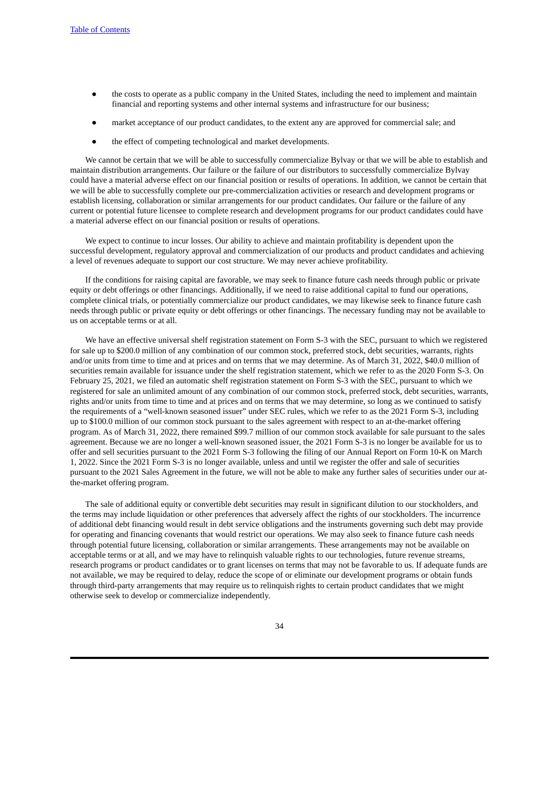- the costs to operate as a public company in the United States, including the need to implement and maintain financial and reporting systems and other internal systems and infrastructure for our business;
- market acceptance of our product candidates, to the extent any are approved for commercial sale; and
- the effect of competing technological and market developments.

We cannot be certain that we will be able to successfully commercialize Bylvay or that we will be able to establish and maintain distribution arrangements. Our failure or the failure of our distributors to successfully commercialize Bylvay could have a material adverse effect on our financial position or results of operations. In addition, we cannot be certain that we will be able to successfully complete our pre-commercialization activities or research and development programs or establish licensing, collaboration or similar arrangements for our product candidates. Our failure or the failure of any current or potential future licensee to complete research and development programs for our product candidates could have a material adverse effect on our financial position or results of operations.

We expect to continue to incur losses. Our ability to achieve and maintain profitability is dependent upon the successful development, regulatory approval and commercialization of our products and product candidates and achieving a level of revenues adequate to support our cost structure. We may never achieve profitability.

If the conditions for raising capital are favorable, we may seek to finance future cash needs through public or private equity or debt offerings or other financings. Additionally, if we need to raise additional capital to fund our operations, complete clinical trials, or potentially commercialize our product candidates, we may likewise seek to finance future cash needs through public or private equity or debt offerings or other financings. The necessary funding may not be available to us on acceptable terms or at all.

We have an effective universal shelf registration statement on Form S-3 with the SEC, pursuant to which we registered for sale up to \$200.0 million of any combination of our common stock, preferred stock, debt securities, warrants, rights and/or units from time to time and at prices and on terms that we may determine. As of March 31, 2022, \$40.0 million of securities remain available for issuance under the shelf registration statement, which we refer to as the 2020 Form S-3. On February 25, 2021, we filed an automatic shelf registration statement on Form S-3 with the SEC, pursuant to which we registered for sale an unlimited amount of any combination of our common stock, preferred stock, debt securities, warrants, rights and/or units from time to time and at prices and on terms that we may determine, so long as we continued to satisfy the requirements of a "well-known seasoned issuer" under SEC rules, which we refer to as the 2021 Form S-3, including up to \$100.0 million of our common stock pursuant to the sales agreement with respect to an at-the-market offering program. As of March 31, 2022, there remained \$99.7 million of our common stock available for sale pursuant to the sales agreement. Because we are no longer a well-known seasoned issuer, the 2021 Form S-3 is no longer be available for us to offer and sell securities pursuant to the 2021 Form S-3 following the filing of our Annual Report on Form 10-K on March 1, 2022. Since the 2021 Form S-3 is no longer available, unless and until we register the offer and sale of securities pursuant to the 2021 Sales Agreement in the future, we will not be able to make any further sales of securities under our atthe-market offering program.

The sale of additional equity or convertible debt securities may result in significant dilution to our stockholders, and the terms may include liquidation or other preferences that adversely affect the rights of our stockholders. The incurrence of additional debt financing would result in debt service obligations and the instruments governing such debt may provide for operating and financing covenants that would restrict our operations. We may also seek to finance future cash needs through potential future licensing, collaboration or similar arrangements. These arrangements may not be available on acceptable terms or at all, and we may have to relinquish valuable rights to our technologies, future revenue streams, research programs or product candidates or to grant licenses on terms that may not be favorable to us. If adequate funds are not available, we may be required to delay, reduce the scope of or eliminate our development programs or obtain funds through third-party arrangements that may require us to relinquish rights to certain product candidates that we might otherwise seek to develop or commercialize independently.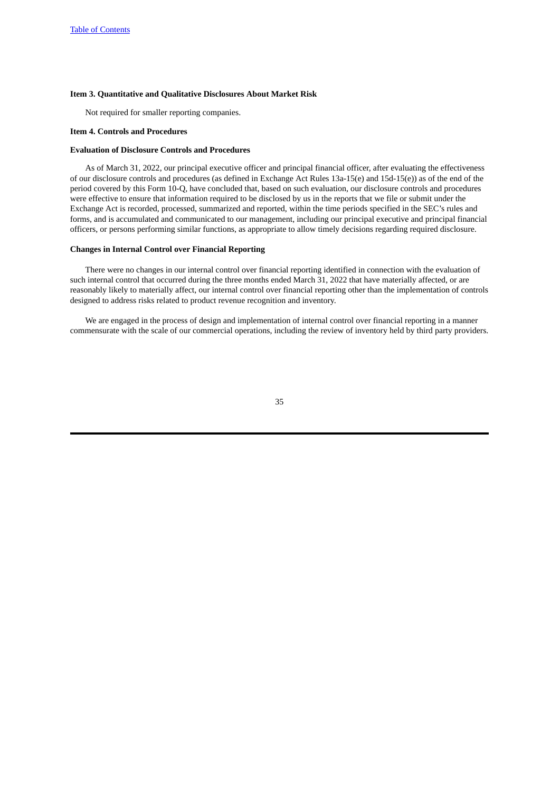#### <span id="page-34-0"></span>**Item 3. Quantitative and Qualitative Disclosures About Market Risk**

Not required for smaller reporting companies.

#### <span id="page-34-1"></span>**Item 4. Controls and Procedures**

### **Evaluation of Disclosure Controls and Procedures**

As of March 31, 2022, our principal executive officer and principal financial officer, after evaluating the effectiveness of our disclosure controls and procedures (as defined in Exchange Act Rules 13a-15(e) and 15d-15(e)) as of the end of the period covered by this Form 10-Q, have concluded that, based on such evaluation, our disclosure controls and procedures were effective to ensure that information required to be disclosed by us in the reports that we file or submit under the Exchange Act is recorded, processed, summarized and reported, within the time periods specified in the SEC's rules and forms, and is accumulated and communicated to our management, including our principal executive and principal financial officers, or persons performing similar functions, as appropriate to allow timely decisions regarding required disclosure.

#### **Changes in Internal Control over Financial Reporting**

There were no changes in our internal control over financial reporting identified in connection with the evaluation of such internal control that occurred during the three months ended March 31, 2022 that have materially affected, or are reasonably likely to materially affect, our internal control over financial reporting other than the implementation of controls designed to address risks related to product revenue recognition and inventory.

We are engaged in the process of design and implementation of internal control over financial reporting in a manner commensurate with the scale of our commercial operations, including the review of inventory held by third party providers.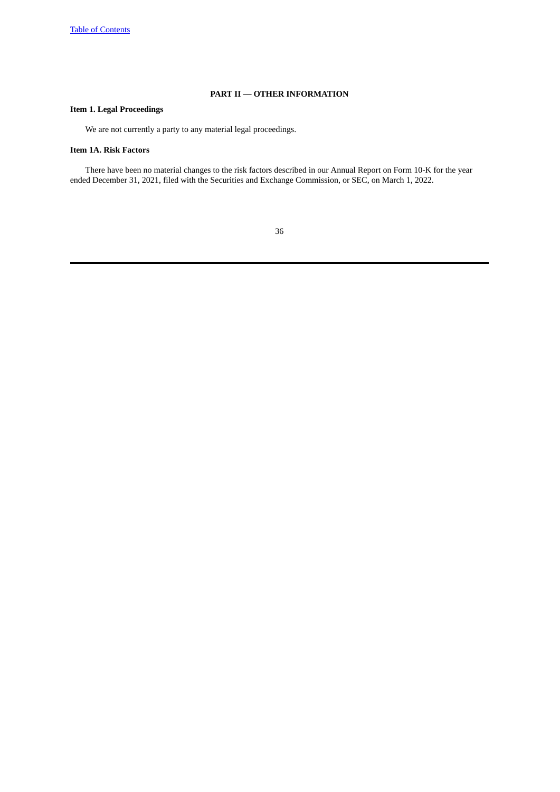# **PART II — OTHER INFORMATION**

# <span id="page-35-1"></span><span id="page-35-0"></span>**Item 1. Legal Proceedings**

We are not currently a party to any material legal proceedings.

# <span id="page-35-2"></span>**Item 1A. Risk Factors**

There have been no material changes to the risk factors described in our Annual Report on Form 10-K for the year ended December 31, 2021, filed with the Securities and Exchange Commission, or SEC, on March 1, 2022.

| ٠                 |               |
|-------------------|---------------|
| I<br>I<br>×<br>۰. | ۰,<br>ï<br>۰. |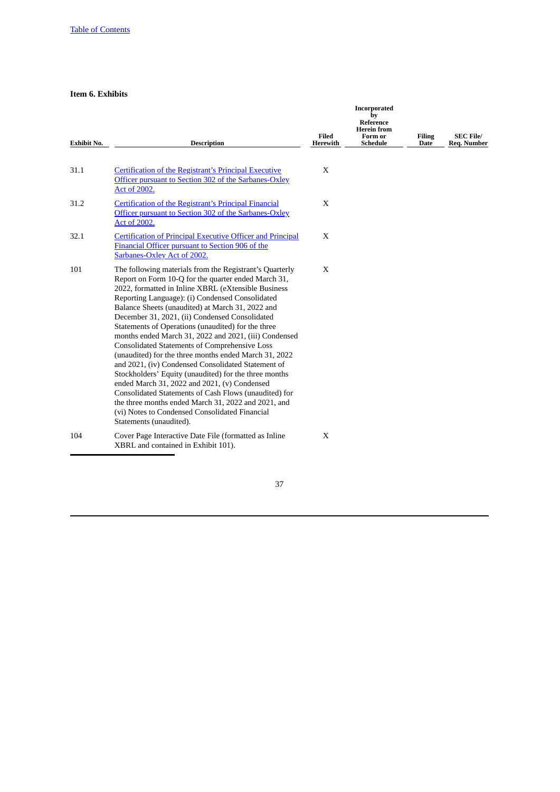# <span id="page-36-0"></span>**Item 6. Exhibits**

| <b>Exhibit No.</b> | <b>Description</b>                                                                                                                                                                                                                                                                                                                                                                                                                                                                                                                                                                                                                                                                                                                                                                                                                                                                                                  | <b>Filed</b><br>Herewith | Incorporated<br>by<br>Reference<br>Herein from<br>Form or<br><b>Schedule</b> | <b>Filing</b><br>Date | <b>SEC File/</b><br>Req. Number |
|--------------------|---------------------------------------------------------------------------------------------------------------------------------------------------------------------------------------------------------------------------------------------------------------------------------------------------------------------------------------------------------------------------------------------------------------------------------------------------------------------------------------------------------------------------------------------------------------------------------------------------------------------------------------------------------------------------------------------------------------------------------------------------------------------------------------------------------------------------------------------------------------------------------------------------------------------|--------------------------|------------------------------------------------------------------------------|-----------------------|---------------------------------|
|                    |                                                                                                                                                                                                                                                                                                                                                                                                                                                                                                                                                                                                                                                                                                                                                                                                                                                                                                                     |                          |                                                                              |                       |                                 |
| 31.1               | <b>Certification of the Registrant's Principal Executive</b><br>Officer pursuant to Section 302 of the Sarbanes-Oxley<br>Act of 2002.                                                                                                                                                                                                                                                                                                                                                                                                                                                                                                                                                                                                                                                                                                                                                                               | X                        |                                                                              |                       |                                 |
| 31.2               | Certification of the Registrant's Principal Financial<br>Officer pursuant to Section 302 of the Sarbanes-Oxley<br>Act of 2002.                                                                                                                                                                                                                                                                                                                                                                                                                                                                                                                                                                                                                                                                                                                                                                                      | X                        |                                                                              |                       |                                 |
| 32.1               | <b>Certification of Principal Executive Officer and Principal</b><br>Financial Officer pursuant to Section 906 of the<br>Sarbanes-Oxley Act of 2002.                                                                                                                                                                                                                                                                                                                                                                                                                                                                                                                                                                                                                                                                                                                                                                | $\mathbf{X}$             |                                                                              |                       |                                 |
| 101                | The following materials from the Registrant's Quarterly<br>Report on Form 10-Q for the quarter ended March 31,<br>2022, formatted in Inline XBRL (eXtensible Business<br>Reporting Language): (i) Condensed Consolidated<br>Balance Sheets (unaudited) at March 31, 2022 and<br>December 31, 2021, (ii) Condensed Consolidated<br>Statements of Operations (unaudited) for the three<br>months ended March 31, 2022 and 2021, (iii) Condensed<br>Consolidated Statements of Comprehensive Loss<br>(unaudited) for the three months ended March 31, 2022<br>and 2021, (iv) Condensed Consolidated Statement of<br>Stockholders' Equity (unaudited) for the three months<br>ended March 31, 2022 and 2021, (v) Condensed<br>Consolidated Statements of Cash Flows (unaudited) for<br>the three months ended March 31, 2022 and 2021, and<br>(vi) Notes to Condensed Consolidated Financial<br>Statements (unaudited). | $\mathbf{X}$             |                                                                              |                       |                                 |
| 104                | Cover Page Interactive Date File (formatted as Inline<br>XBRL and contained in Exhibit 101).                                                                                                                                                                                                                                                                                                                                                                                                                                                                                                                                                                                                                                                                                                                                                                                                                        | X                        |                                                                              |                       |                                 |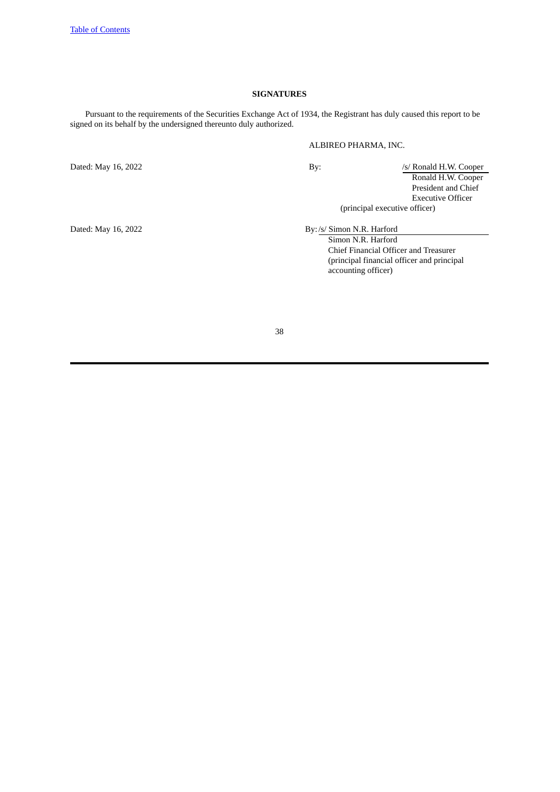# **SIGNATURES**

<span id="page-37-0"></span>Pursuant to the requirements of the Securities Exchange Act of 1934, the Registrant has duly caused this report to be signed on its behalf by the undersigned thereunto duly authorized.

### ALBIREO PHARMA, INC.

Dated: May 16, 2022 By: By: /s/ Ronald H.W. Cooper Ronald H.W. Cooper President and Chief Executive Officer

(principal executive officer)

Dated: May 16, 2022 By:/s/ Simon N.R. Harford

Simon N.R. Harford Chief Financial Officer and Treasurer (principal financial officer and principal accounting officer)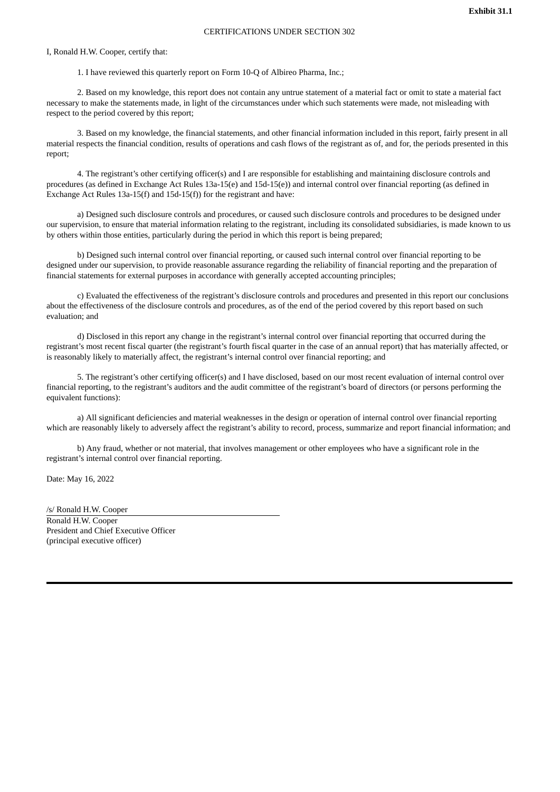### CERTIFICATIONS UNDER SECTION 302

<span id="page-38-0"></span>I, Ronald H.W. Cooper, certify that:

1. I have reviewed this quarterly report on Form 10-Q of Albireo Pharma, Inc.;

2. Based on my knowledge, this report does not contain any untrue statement of a material fact or omit to state a material fact necessary to make the statements made, in light of the circumstances under which such statements were made, not misleading with respect to the period covered by this report;

3. Based on my knowledge, the financial statements, and other financial information included in this report, fairly present in all material respects the financial condition, results of operations and cash flows of the registrant as of, and for, the periods presented in this report;

4. The registrant's other certifying officer(s) and I are responsible for establishing and maintaining disclosure controls and procedures (as defined in Exchange Act Rules 13a-15(e) and 15d-15(e)) and internal control over financial reporting (as defined in Exchange Act Rules 13a-15(f) and 15d-15(f)) for the registrant and have:

a) Designed such disclosure controls and procedures, or caused such disclosure controls and procedures to be designed under our supervision, to ensure that material information relating to the registrant, including its consolidated subsidiaries, is made known to us by others within those entities, particularly during the period in which this report is being prepared;

b) Designed such internal control over financial reporting, or caused such internal control over financial reporting to be designed under our supervision, to provide reasonable assurance regarding the reliability of financial reporting and the preparation of financial statements for external purposes in accordance with generally accepted accounting principles;

c) Evaluated the effectiveness of the registrant's disclosure controls and procedures and presented in this report our conclusions about the effectiveness of the disclosure controls and procedures, as of the end of the period covered by this report based on such evaluation; and

d) Disclosed in this report any change in the registrant's internal control over financial reporting that occurred during the registrant's most recent fiscal quarter (the registrant's fourth fiscal quarter in the case of an annual report) that has materially affected, or is reasonably likely to materially affect, the registrant's internal control over financial reporting; and

5. The registrant's other certifying officer(s) and I have disclosed, based on our most recent evaluation of internal control over financial reporting, to the registrant's auditors and the audit committee of the registrant's board of directors (or persons performing the equivalent functions):

a) All significant deficiencies and material weaknesses in the design or operation of internal control over financial reporting which are reasonably likely to adversely affect the registrant's ability to record, process, summarize and report financial information; and

b) Any fraud, whether or not material, that involves management or other employees who have a significant role in the registrant's internal control over financial reporting.

Date: May 16, 2022

/s/ Ronald H.W. Cooper Ronald H.W. Cooper President and Chief Executive Officer (principal executive officer)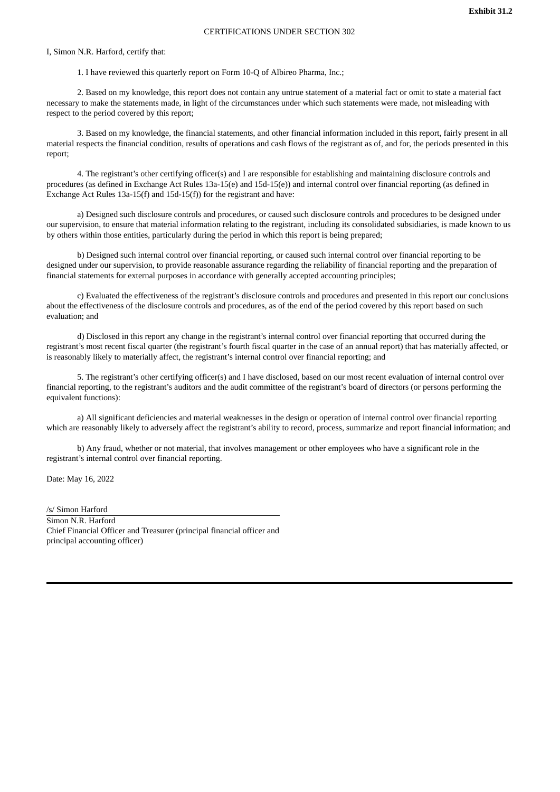### CERTIFICATIONS UNDER SECTION 302

#### <span id="page-39-0"></span>I, Simon N.R. Harford, certify that:

1. I have reviewed this quarterly report on Form 10-Q of Albireo Pharma, Inc.;

2. Based on my knowledge, this report does not contain any untrue statement of a material fact or omit to state a material fact necessary to make the statements made, in light of the circumstances under which such statements were made, not misleading with respect to the period covered by this report;

3. Based on my knowledge, the financial statements, and other financial information included in this report, fairly present in all material respects the financial condition, results of operations and cash flows of the registrant as of, and for, the periods presented in this report;

4. The registrant's other certifying officer(s) and I are responsible for establishing and maintaining disclosure controls and procedures (as defined in Exchange Act Rules 13a-15(e) and 15d-15(e)) and internal control over financial reporting (as defined in Exchange Act Rules 13a-15(f) and 15d-15(f)) for the registrant and have:

a) Designed such disclosure controls and procedures, or caused such disclosure controls and procedures to be designed under our supervision, to ensure that material information relating to the registrant, including its consolidated subsidiaries, is made known to us by others within those entities, particularly during the period in which this report is being prepared;

b) Designed such internal control over financial reporting, or caused such internal control over financial reporting to be designed under our supervision, to provide reasonable assurance regarding the reliability of financial reporting and the preparation of financial statements for external purposes in accordance with generally accepted accounting principles;

c) Evaluated the effectiveness of the registrant's disclosure controls and procedures and presented in this report our conclusions about the effectiveness of the disclosure controls and procedures, as of the end of the period covered by this report based on such evaluation; and

d) Disclosed in this report any change in the registrant's internal control over financial reporting that occurred during the registrant's most recent fiscal quarter (the registrant's fourth fiscal quarter in the case of an annual report) that has materially affected, or is reasonably likely to materially affect, the registrant's internal control over financial reporting; and

5. The registrant's other certifying officer(s) and I have disclosed, based on our most recent evaluation of internal control over financial reporting, to the registrant's auditors and the audit committee of the registrant's board of directors (or persons performing the equivalent functions):

a) All significant deficiencies and material weaknesses in the design or operation of internal control over financial reporting which are reasonably likely to adversely affect the registrant's ability to record, process, summarize and report financial information; and

b) Any fraud, whether or not material, that involves management or other employees who have a significant role in the registrant's internal control over financial reporting.

Date: May 16, 2022

/s/ Simon Harford Simon N.R. Harford Chief Financial Officer and Treasurer (principal financial officer and principal accounting officer)